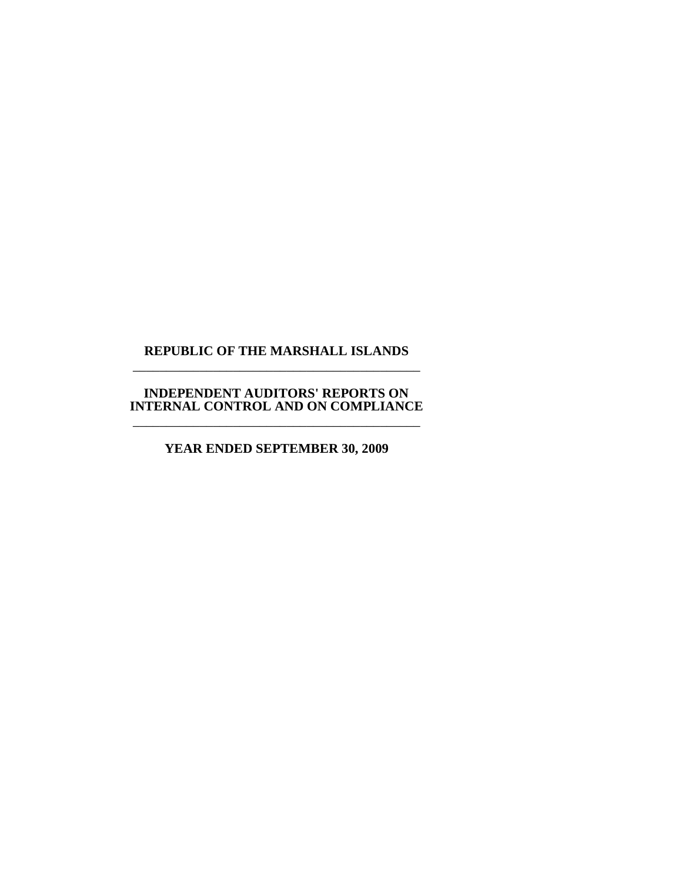# **REPUBLIC OF THE MARSHALL ISLANDS** \_\_\_\_\_\_\_\_\_\_\_\_\_\_\_\_\_\_\_\_\_\_\_\_\_\_\_\_\_\_\_\_\_\_\_\_\_\_\_\_\_\_\_

### **INDEPENDENT AUDITORS' REPORTS ON INTERNAL CONTROL AND ON COMPLIANCE** \_\_\_\_\_\_\_\_\_\_\_\_\_\_\_\_\_\_\_\_\_\_\_\_\_\_\_\_\_\_\_\_\_\_\_\_\_\_\_\_\_\_\_

**YEAR ENDED SEPTEMBER 30, 2009**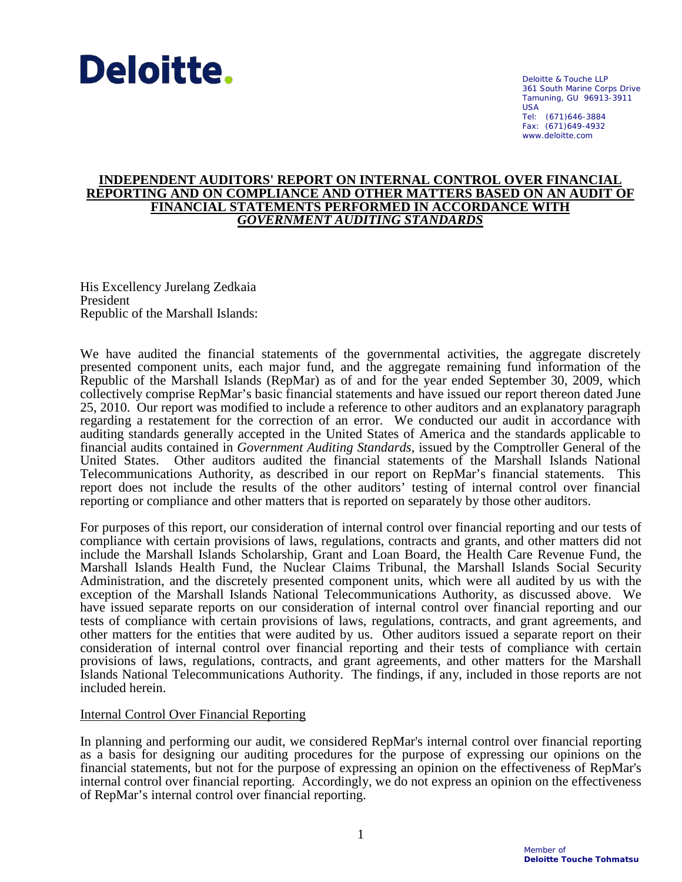

Deloitte & Touche LLP 361 South Marine Corps Drive Tamuning, GU 96913-3911 USA Tel: (671)646-3884 Fax: (671)649-4932 www.deloitte.com

#### **INDEPENDENT AUDITORS' REPORT ON INTERNAL CONTROL OVER FINANCIAL REPORTING AND ON COMPLIANCE AND OTHER MATTERS BASED ON AN AUDIT OF FINANCIAL STATEMENTS PERFORMED IN ACCORDANCE WITH** *GOVERNMENT AUDITING STANDARDS*

His Excellency Jurelang Zedkaia President Republic of the Marshall Islands:

We have audited the financial statements of the governmental activities, the aggregate discretely presented component units, each major fund, and the aggregate remaining fund information of the Republic of the Marshall Islands (RepMar) as of and for the year ended September 30, 2009, which collectively comprise RepMar's basic financial statements and have issued our report thereon dated June 25, 2010. Our report was modified to include a reference to other auditors and an explanatory paragraph regarding a restatement for the correction of an error. We conducted our audit in accordance with auditing standards generally accepted in the United States of America and the standards applicable to financial audits contained in *Government Auditing Standards*, issued by the Comptroller General of the United States. Other auditors audited the financial statements of the Marshall Islands National Telecommunications Authority, as described in our report on RepMar's financial statements. This report does not include the results of the other auditors' testing of internal control over financial reporting or compliance and other matters that is reported on separately by those other auditors.

For purposes of this report, our consideration of internal control over financial reporting and our tests of compliance with certain provisions of laws, regulations, contracts and grants, and other matters did not include the Marshall Islands Scholarship, Grant and Loan Board, the Health Care Revenue Fund, the Marshall Islands Health Fund, the Nuclear Claims Tribunal, the Marshall Islands Social Security Administration, and the discretely presented component units, which were all audited by us with the exception of the Marshall Islands National Telecommunications Authority, as discussed above. We have issued separate reports on our consideration of internal control over financial reporting and our tests of compliance with certain provisions of laws, regulations, contracts, and grant agreements, and other matters for the entities that were audited by us. Other auditors issued a separate report on their consideration of internal control over financial reporting and their tests of compliance with certain provisions of laws, regulations, contracts, and grant agreements, and other matters for the Marshall Islands National Telecommunications Authority. The findings, if any, included in those reports are not included herein.

### Internal Control Over Financial Reporting

In planning and performing our audit, we considered RepMar's internal control over financial reporting as a basis for designing our auditing procedures for the purpose of expressing our opinions on the financial statements, but not for the purpose of expressing an opinion on the effectiveness of RepMar's internal control over financial reporting. Accordingly, we do not express an opinion on the effectiveness of RepMar's internal control over financial reporting.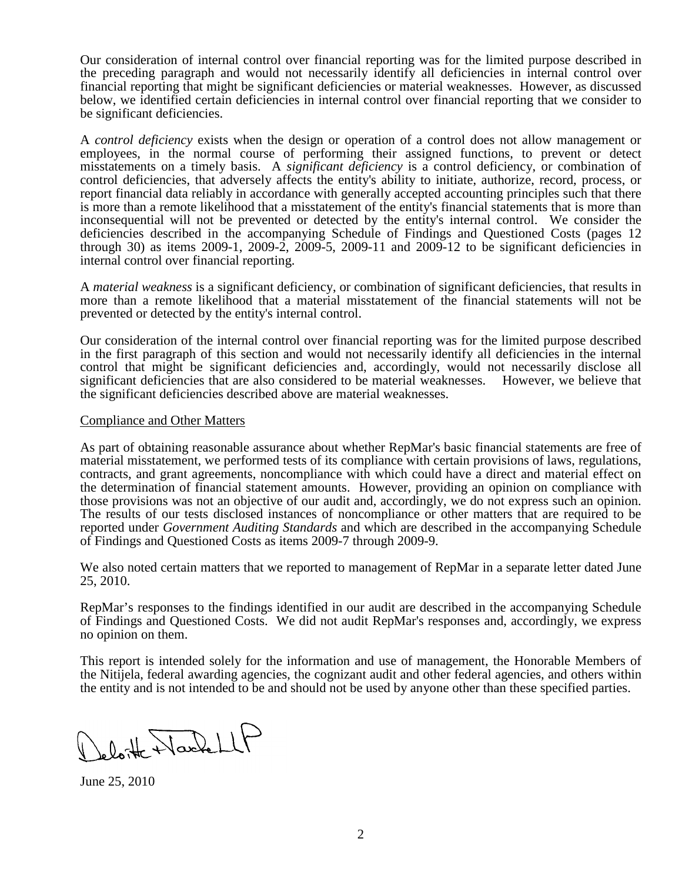Our consideration of internal control over financial reporting was for the limited purpose described in the preceding paragraph and would not necessarily identify all deficiencies in internal control over financial reporting that might be significant deficiencies or material weaknesses. However, as discussed below, we identified certain deficiencies in internal control over financial reporting that we consider to be significant deficiencies.

A *control deficiency* exists when the design or operation of a control does not allow management or employees, in the normal course of performing their assigned functions, to prevent or detect misstatements on a timely basis. A *significant deficiency* is a control deficiency, or combination of control deficiencies, that adversely affects the entity's ability to initiate, authorize, record, process, or report financial data reliably in accordance with generally accepted accounting principles such that there is more than a remote likelihood that a misstatement of the entity's financial statements that is more than inconsequential will not be prevented or detected by the entity's internal control. We consider the deficiencies described in the accompanying Schedule of Findings and Questioned Costs (pages 12 through 30) as items 2009-1, 2009-2, 2009-5, 2009-11 and 2009-12 to be significant deficiencies in internal control over financial reporting.

A *material weakness* is a significant deficiency, or combination of significant deficiencies, that results in more than a remote likelihood that a material misstatement of the financial statements will not be prevented or detected by the entity's internal control.

Our consideration of the internal control over financial reporting was for the limited purpose described in the first paragraph of this section and would not necessarily identify all deficiencies in the internal control that might be significant deficiencies and, accordingly, would not necessarily disclose all significant deficiencies that are also considered to be material weaknesses. However, we believe that the significant deficiencies described above are material weaknesses.

### Compliance and Other Matters

As part of obtaining reasonable assurance about whether RepMar's basic financial statements are free of material misstatement, we performed tests of its compliance with certain provisions of laws, regulations, contracts, and grant agreements, noncompliance with which could have a direct and material effect on the determination of financial statement amounts. However, providing an opinion on compliance with those provisions was not an objective of our audit and, accordingly, we do not express such an opinion. The results of our tests disclosed instances of noncompliance or other matters that are required to be reported under *Government Auditing Standards* and which are described in the accompanying Schedule of Findings and Questioned Costs as items 2009-7 through 2009-9.

We also noted certain matters that we reported to management of RepMar in a separate letter dated June 25, 2010.

RepMar's responses to the findings identified in our audit are described in the accompanying Schedule of Findings and Questioned Costs. We did not audit RepMar's responses and, accordingly, we express no opinion on them.

This report is intended solely for the information and use of management, the Honorable Members of the Nitijela, federal awarding agencies, the cognizant audit and other federal agencies, and others within the entity and is not intended to be and should not be used by anyone other than these specified parties.

Jeloitte WackellP

June 25, 2010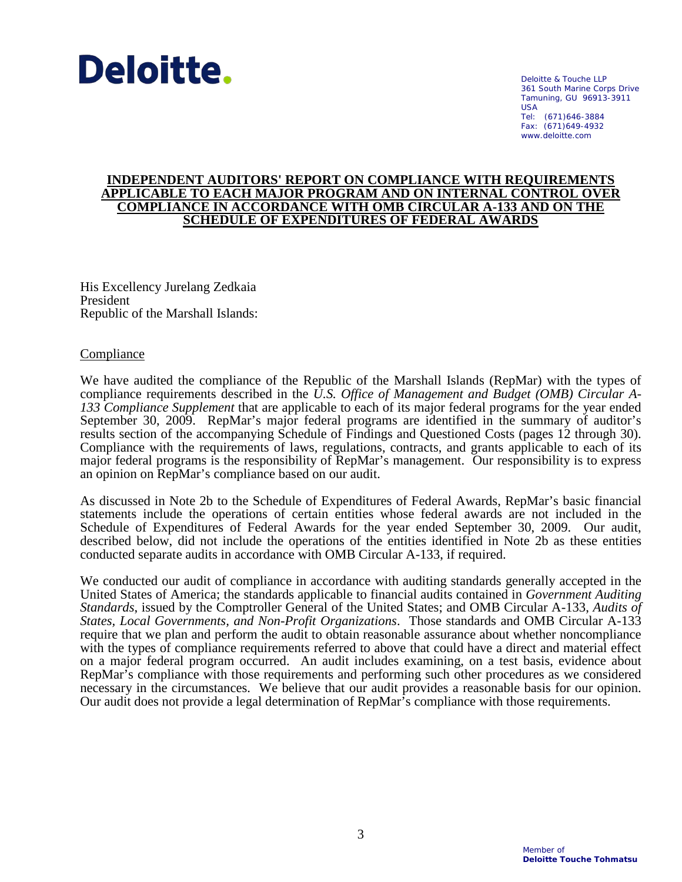

Deloitte & Touche LLP 361 South Marine Corps Drive Tamuning, GU 96913-3911 USA Tel: (671)646-3884 Fax: (671)649-4932 www.deloitte.com

#### **INDEPENDENT AUDITORS' REPORT ON COMPLIANCE WITH REQUIREMENTS APPLICABLE TO EACH MAJOR PROGRAM AND ON INTERNAL CONTROL OVER COMPLIANCE IN ACCORDANCE WITH OMB CIRCULAR A-133 AND ON THE SCHEDULE OF EXPENDITURES OF FEDERAL AWARDS**

His Excellency Jurelang Zedkaia President Republic of the Marshall Islands:

#### **Compliance**

We have audited the compliance of the Republic of the Marshall Islands (RepMar) with the types of compliance requirements described in the U.S. Office of Management and Budget (OMB) Circular A-133 Compliance Supplement that are applicable to each of its major federal programs for the year ended September 30, 2009. RepMar's major federal programs are identified in the summary of auditor's results section of the accompanying Schedule of Findings and Questioned Costs (pages 12 through 30). Compliance with the requirements of laws, regulations, contracts, and grants applicable to each of its major federal programs is the responsibility of RepMar's management. Our responsibility is to express an opinion on RepMar's compliance based on our audit.

As discussed in Note 2b to the Schedule of Expenditures of Federal Awards, RepMar's basic financial statements include the operations of certain entities whose federal awards are not included in the Schedule of Expenditures of Federal Awards for the year ended September 30, 2009. Our audit, described below, did not include the operations of the entities identified in Note 2b as these entities conducted separate audits in accordance with OMB Circular A-133, if required.

We conducted our audit of compliance in accordance with auditing standards generally accepted in the United States of America; the standards applicable to financial audits contained in *Government Auditing Standards*, issued by the Comptroller General of the United States; and OMB Circular A-133, *Audits of States, Local Governments, and Non-Profit Organizations*. Those standards and OMB Circular A-133 require that we plan and perform the audit to obtain reasonable assurance about whether noncompliance with the types of compliance requirements referred to above that could have a direct and material effect on a major federal program occurred. An audit includes examining, on a test basis, evidence about RepMar's compliance with those requirements and performing such other procedures as we considered necessary in the circumstances. We believe that our audit provides a reasonable basis for our opinion. Our audit does not provide a legal determination of RepMar's compliance with those requirements.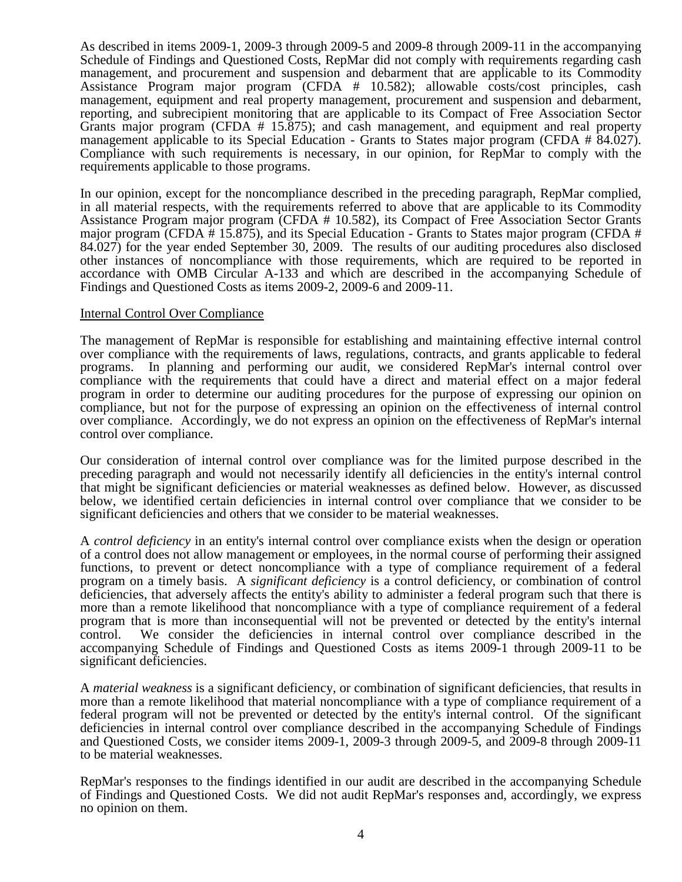As described in items 2009-1, 2009-3 through 2009-5 and 2009-8 through 2009-11 in the accompanying Schedule of Findings and Questioned Costs, RepMar did not comply with requirements regarding cash management, and procurement and suspension and debarment that are applicable to its Commodity Assistance Program major program (CFDA # 10.582); allowable costs/cost principles, cash management, equipment and real property management, procurement and suspension and debarment, reporting, and subrecipient monitoring that are applicable to its Compact of Free Association Sector Grants major program (CFDA # 15.875); and cash management, and equipment and real property management applicable to its Special Education - Grants to States major program (CFDA # 84.027). Compliance with such requirements is necessary, in our opinion, for RepMar to comply with the requirements applicable to those programs.

In our opinion, except for the noncompliance described in the preceding paragraph, RepMar complied, in all material respects, with the requirements referred to above that are applicable to its Commodity Assistance Program major program (CFDA # 10.582), its Compact of Free Association Sector Grants major program (CFDA # 15.875), and its Special Education - Grants to States major program (CFDA # 84.027) for the year ended September 30, 2009. The results of our auditing procedures also disclosed other instances of noncompliance with those requirements, which are required to be reported in accordance with OMB Circular A-133 and which are described in the accompanying Schedule of Findings and Questioned Costs as items 2009-2, 2009-6 and 2009-11.

### Internal Control Over Compliance

The management of RepMar is responsible for establishing and maintaining effective internal control over compliance with the requirements of laws, regulations, contracts, and grants applicable to federal programs. In planning and performing our audit, we considered RepMar's internal control over compliance with the requirements that could have a direct and material effect on a major federal program in order to determine our auditing procedures for the purpose of expressing our opinion on compliance, but not for the purpose of expressing an opinion on the effectiveness of internal control over compliance. Accordingly, we do not express an opinion on the effectiveness of RepMar's internal control over compliance.

Our consideration of internal control over compliance was for the limited purpose described in the preceding paragraph and would not necessarily identify all deficiencies in the entity's internal control that might be significant deficiencies or material weaknesses as defined below. However, as discussed below, we identified certain deficiencies in internal control over compliance that we consider to be significant deficiencies and others that we consider to be material weaknesses.

A *control deficiency* in an entity's internal control over compliance exists when the design or operation of a control does not allow management or employees, in the normal course of performing their assigned functions, to prevent or detect noncompliance with a type of compliance requirement of a federal program on a timely basis. A *significant deficiency* is a control deficiency, or combination of control deficiencies, that adversely affects the entity's ability to administer a federal program such that there is more than a remote likelihood that noncompliance with a type of compliance requirement of a federal program that is more than inconsequential will not be prevented or detected by the entity's internal control. We consider the deficiencies in internal control over compliance described in the accompanying Schedule of Findings and Questioned Costs as items 2009-1 through 2009-11 to be significant deficiencies.

A *material weakness* is a significant deficiency, or combination of significant deficiencies, that results in more than a remote likelihood that material noncompliance with a type of compliance requirement of a federal program will not be prevented or detected by the entity's internal control. Of the significant deficiencies in internal control over compliance described in the accompanying Schedule of Findings and Questioned Costs, we consider items 2009-1, 2009-3 through 2009-5, and 2009-8 through 2009-11 to be material weaknesses.

RepMar's responses to the findings identified in our audit are described in the accompanying Schedule of Findings and Questioned Costs. We did not audit RepMar's responses and, accordingly, we express no opinion on them.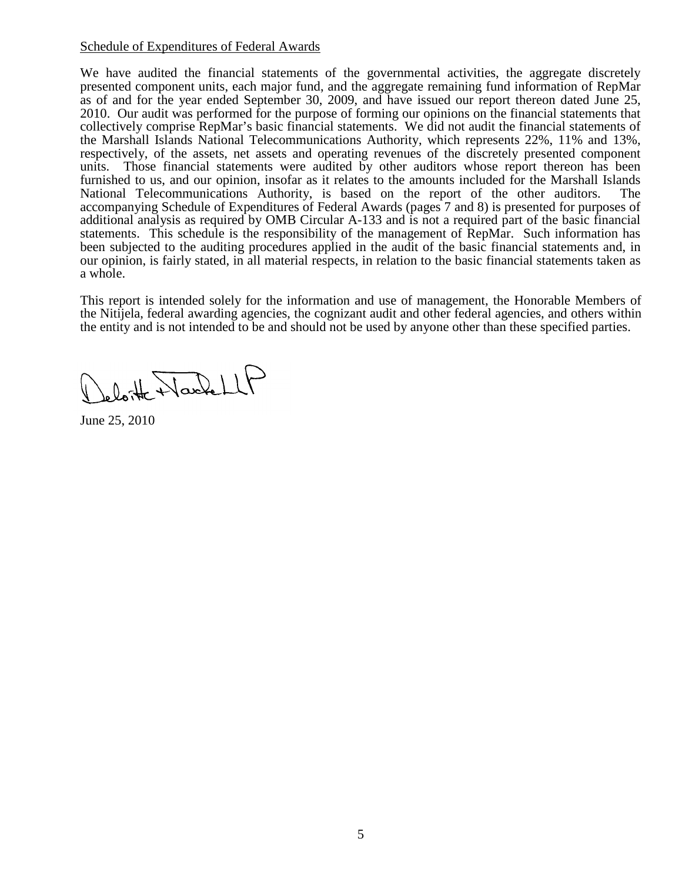## Schedule of Expenditures of Federal Awards

We have audited the financial statements of the governmental activities, the aggregate discretely presented component units, each major fund, and the aggregate remaining fund information of RepMar as of and for the year ended September 30, 2009, and have issued our report thereon dated June 25, 2010. Our audit was performed for the purpose of forming our opinions on the financial statements that collectively comprise RepMar's basic financial statements. We did not audit the financial statements of the Marshall Islands National Telecommunications Authority, which represents 22%, 11% and 13%, respectively, of the assets, net assets and operating revenues of the discretely presented component units. Those financial statements were audited by other auditors whose report thereon has been furnished to us, and our opinion, insofar as it relates to the amounts included for the Marshall Islands National Telecommunications Authority, is based on the report of the other auditors. The accompanying Schedule of Expenditures of Federal Awards (pages 7 and 8) is presented for purposes of additional analysis as required by OMB Circular A-133 and is not a required part of the basic financial statements. This schedule is the responsibility of the management of RepMar. Such information has been subjected to the auditing procedures applied in the audit of the basic financial statements and, in our opinion, is fairly stated, in all material respects, in relation to the basic financial statements taken as a whole.

This report is intended solely for the information and use of management, the Honorable Members of the Nitijela, federal awarding agencies, the cognizant audit and other federal agencies, and others within the entity and is not intended to be and should not be used by anyone other than these specified parties.

Jeloitte WackellP

June 25, 2010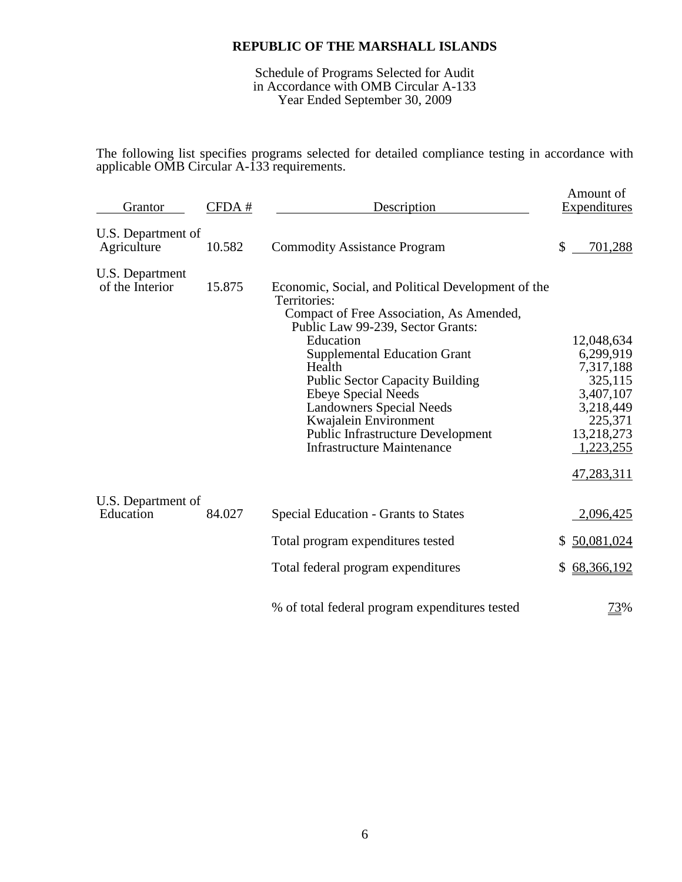Schedule of Programs Selected for Audit in Accordance with OMB Circular A-133 Year Ended September 30, 2009

The following list specifies programs selected for detailed compliance testing in accordance with applicable OMB Circular A-133 requirements.

| Grantor                            | CFDA#  | Description                                                                                                                                                                                                                                                                                                                                                                                                                            | Amount of<br><b>Expenditures</b>                                                                                              |
|------------------------------------|--------|----------------------------------------------------------------------------------------------------------------------------------------------------------------------------------------------------------------------------------------------------------------------------------------------------------------------------------------------------------------------------------------------------------------------------------------|-------------------------------------------------------------------------------------------------------------------------------|
| U.S. Department of<br>Agriculture  | 10.582 | <b>Commodity Assistance Program</b>                                                                                                                                                                                                                                                                                                                                                                                                    | \$<br>701,288                                                                                                                 |
| U.S. Department<br>of the Interior | 15.875 | Economic, Social, and Political Development of the<br>Territories:<br>Compact of Free Association, As Amended,<br>Public Law 99-239, Sector Grants:<br>Education<br><b>Supplemental Education Grant</b><br>Health<br><b>Public Sector Capacity Building</b><br><b>Ebeye Special Needs</b><br><b>Landowners Special Needs</b><br>Kwajalein Environment<br><b>Public Infrastructure Development</b><br><b>Infrastructure Maintenance</b> | 12,048,634<br>6,299,919<br>7,317,188<br>325,115<br>3,407,107<br>3,218,449<br>225,371<br>13,218,273<br>1,223,255<br>47,283,311 |
| U.S. Department of<br>Education    | 84.027 | Special Education - Grants to States                                                                                                                                                                                                                                                                                                                                                                                                   | 2,096,425                                                                                                                     |
|                                    |        | Total program expenditures tested                                                                                                                                                                                                                                                                                                                                                                                                      | 50,081,024<br>S                                                                                                               |
|                                    |        | Total federal program expenditures                                                                                                                                                                                                                                                                                                                                                                                                     | 68,366,192<br>\$                                                                                                              |
|                                    |        | % of total federal program expenditures tested                                                                                                                                                                                                                                                                                                                                                                                         | <u>73%</u>                                                                                                                    |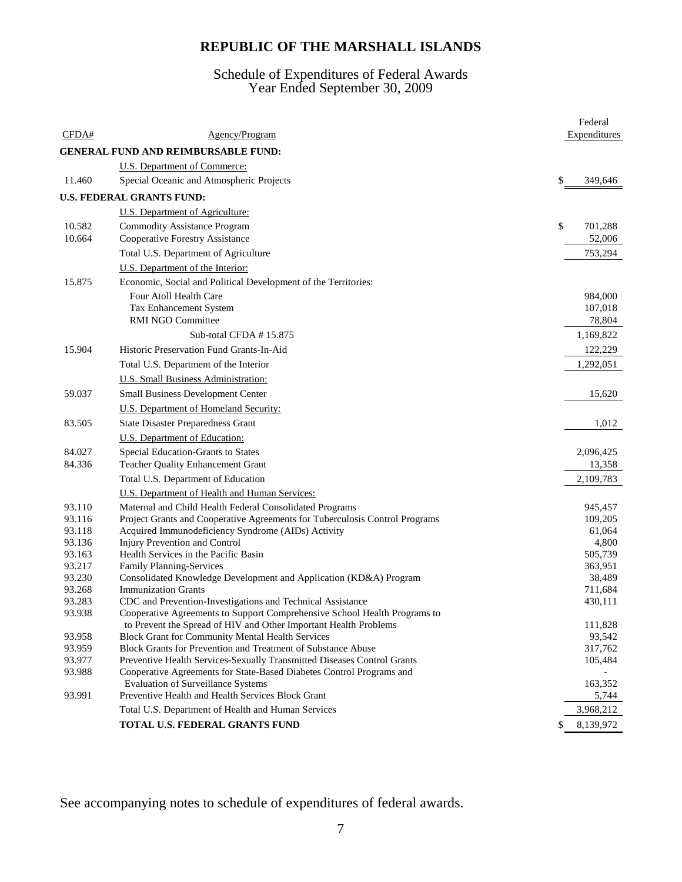# Schedule of Expenditures of Federal Awards Year Ended September 30, 2009

|                  |                                                                                                                                        | Federal            |
|------------------|----------------------------------------------------------------------------------------------------------------------------------------|--------------------|
| CFDA#            | Agency/Program                                                                                                                         | Expenditures       |
|                  | <b>GENERAL FUND AND REIMBURSABLE FUND:</b>                                                                                             |                    |
|                  | <b>U.S. Department of Commerce:</b>                                                                                                    |                    |
| 11.460           | Special Oceanic and Atmospheric Projects                                                                                               | \$<br>349,646      |
|                  | <b>U.S. FEDERAL GRANTS FUND:</b>                                                                                                       |                    |
|                  | U.S. Department of Agriculture:                                                                                                        |                    |
| 10.582           | <b>Commodity Assistance Program</b>                                                                                                    | \$<br>701,288      |
| 10.664           | <b>Cooperative Forestry Assistance</b>                                                                                                 | 52,006             |
|                  | Total U.S. Department of Agriculture                                                                                                   | 753,294            |
|                  | U.S. Department of the Interior:                                                                                                       |                    |
| 15.875           | Economic, Social and Political Development of the Territories:                                                                         |                    |
|                  | Four Atoll Health Care                                                                                                                 | 984,000            |
|                  | Tax Enhancement System                                                                                                                 | 107,018            |
|                  | <b>RMI NGO Committee</b>                                                                                                               | 78,804             |
|                  | Sub-total CFDA #15.875                                                                                                                 | 1,169,822          |
| 15.904           | Historic Preservation Fund Grants-In-Aid                                                                                               | 122,229            |
|                  | Total U.S. Department of the Interior                                                                                                  | 1,292,051          |
|                  | <b>U.S. Small Business Administration:</b>                                                                                             |                    |
| 59.037           | Small Business Development Center                                                                                                      | 15,620             |
|                  | U.S. Department of Homeland Security:                                                                                                  |                    |
| 83.505           | <b>State Disaster Preparedness Grant</b>                                                                                               | 1,012              |
|                  | U.S. Department of Education:                                                                                                          |                    |
| 84.027           | Special Education-Grants to States                                                                                                     | 2,096,425          |
| 84.336           | Teacher Quality Enhancement Grant                                                                                                      | 13,358             |
|                  | Total U.S. Department of Education                                                                                                     | 2,109,783          |
|                  | U.S. Department of Health and Human Services:                                                                                          |                    |
|                  |                                                                                                                                        |                    |
| 93.110<br>93.116 | Maternal and Child Health Federal Consolidated Programs<br>Project Grants and Cooperative Agreements for Tuberculosis Control Programs | 945,457<br>109,205 |
| 93.118           | Acquired Immunodeficiency Syndrome (AIDs) Activity                                                                                     | 61,064             |
| 93.136           | Injury Prevention and Control                                                                                                          | 4,800              |
| 93.163           | Health Services in the Pacific Basin                                                                                                   | 505,739            |
| 93.217           | <b>Family Planning-Services</b>                                                                                                        | 363,951            |
| 93.230           | Consolidated Knowledge Development and Application (KD&A) Program                                                                      | 38,489             |
| 93.268           | <b>Immunization Grants</b>                                                                                                             | 711,684            |
| 93.283           | CDC and Prevention-Investigations and Technical Assistance                                                                             | 430,111            |
| 93.938           | Cooperative Agreements to Support Comprehensive School Health Programs to                                                              |                    |
|                  | to Prevent the Spread of HIV and Other Important Health Problems                                                                       | 111,828            |
| 93.958           | <b>Block Grant for Community Mental Health Services</b>                                                                                | 93,542             |
| 93.959           | Block Grants for Prevention and Treatment of Substance Abuse                                                                           | 317,762            |
| 93.977           | Preventive Health Services-Sexually Transmitted Diseases Control Grants                                                                | 105,484            |
| 93.988           | Cooperative Agreements for State-Based Diabetes Control Programs and                                                                   |                    |
|                  | <b>Evaluation of Surveillance Systems</b>                                                                                              | 163,352            |
| 93.991           | Preventive Health and Health Services Block Grant                                                                                      | 5,744              |
|                  | Total U.S. Department of Health and Human Services                                                                                     | 3,968,212          |
|                  | TOTAL U.S. FEDERAL GRANTS FUND                                                                                                         | \$<br>8,139,972    |

See accompanying notes to schedule of expenditures of federal awards.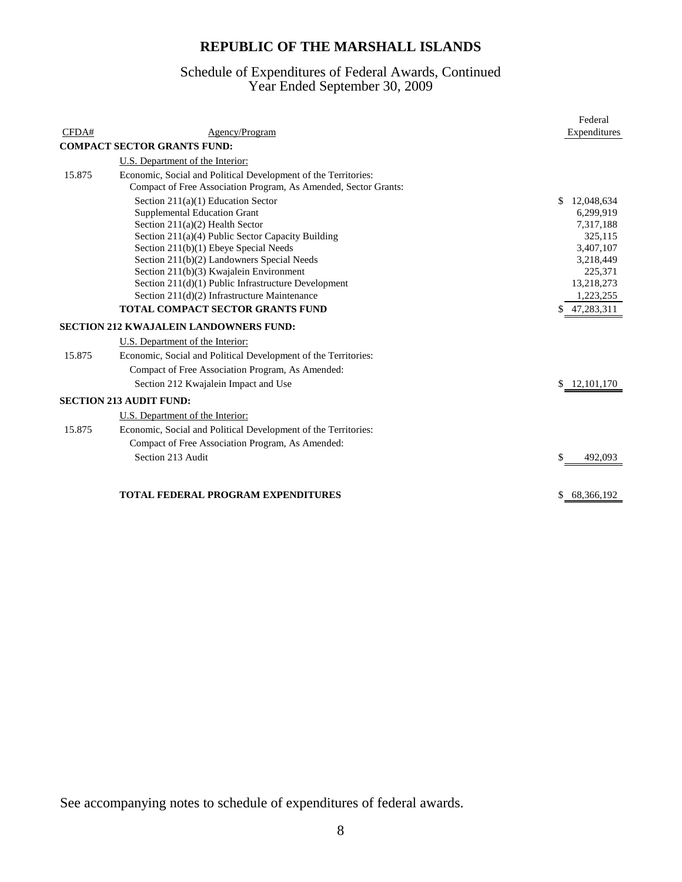## Year Ended September 30, 2009 Schedule of Expenditures of Federal Awards, Continued

|        |                                                                 | Federal           |
|--------|-----------------------------------------------------------------|-------------------|
| CFDA#  | Agency/Program                                                  | Expenditures      |
|        | <b>COMPACT SECTOR GRANTS FUND:</b>                              |                   |
|        | U.S. Department of the Interior:                                |                   |
| 15.875 | Economic, Social and Political Development of the Territories:  |                   |
|        | Compact of Free Association Program, As Amended, Sector Grants: |                   |
|        | Section $211(a)(1)$ Education Sector                            | \$.<br>12,048,634 |
|        | <b>Supplemental Education Grant</b>                             | 6,299,919         |
|        | Section $211(a)(2)$ Health Sector                               | 7,317,188         |
|        | Section $211(a)(4)$ Public Sector Capacity Building             | 325,115           |
|        | Section 211(b)(1) Ebeye Special Needs                           | 3,407,107         |
|        | Section 211(b)(2) Landowners Special Needs                      | 3,218,449         |
|        | Section 211(b)(3) Kwajalein Environment                         | 225,371           |
|        | Section 211(d)(1) Public Infrastructure Development             | 13,218,273        |
|        | Section 211(d)(2) Infrastructure Maintenance                    | 1,223,255         |
|        | <b>TOTAL COMPACT SECTOR GRANTS FUND</b>                         | 47,283,311        |
|        | <b>SECTION 212 KWAJALEIN LANDOWNERS FUND:</b>                   |                   |
|        | U.S. Department of the Interior:                                |                   |
| 15.875 | Economic, Social and Political Development of the Territories:  |                   |
|        | Compact of Free Association Program, As Amended:                |                   |
|        | Section 212 Kwajalein Impact and Use                            | \$12,101,170      |
|        | <b>SECTION 213 AUDIT FUND:</b>                                  |                   |
|        | U.S. Department of the Interior:                                |                   |
| 15.875 | Economic, Social and Political Development of the Territories:  |                   |
|        | Compact of Free Association Program, As Amended:                |                   |
|        | Section 213 Audit                                               | \$<br>492,093     |
|        |                                                                 |                   |
|        | <b>TOTAL FEDERAL PROGRAM EXPENDITURES</b>                       | 68,366,192<br>\$  |

See accompanying notes to schedule of expenditures of federal awards.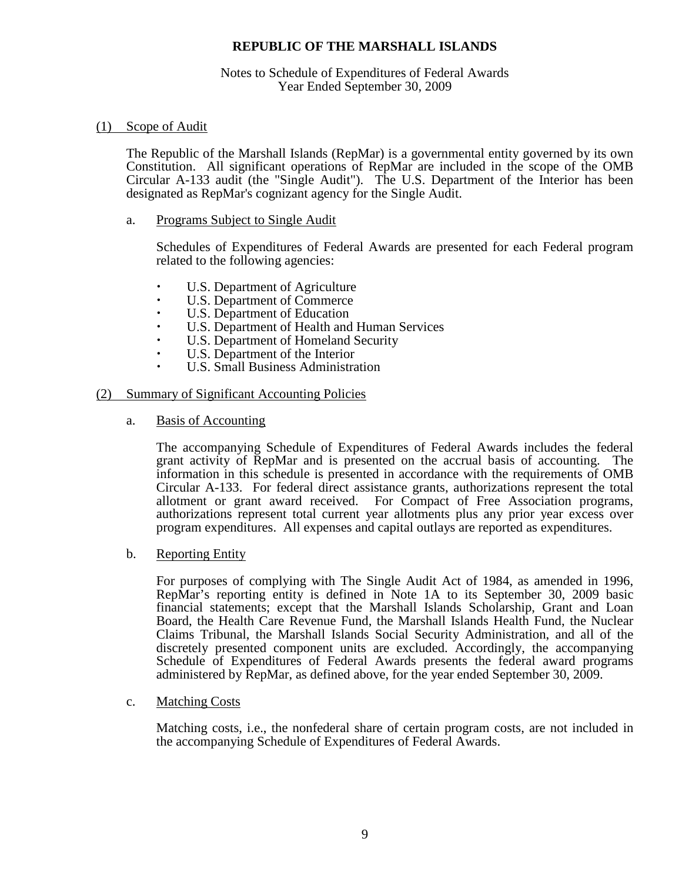### Notes to Schedule of Expenditures of Federal Awards Year Ended September 30, 2009

### (1) Scope of Audit

The Republic of the Marshall Islands (RepMar) is a governmental entity governed by its own Constitution. All significant operations of RepMar are included in the scope of the OMB Circular A-133 audit (the "Single Audit"). The U.S. Department of the Interior has been designated as RepMar's cognizant agency for the Single Audit.

a. Programs Subject to Single Audit

Schedules of Expenditures of Federal Awards are presented for each Federal program related to the following agencies:

- 
- 
- 
- U.S. Department of Agriculture<br>
U.S. Department of Commerce<br>
U.S. Department of Education<br>
U.S. Department of Health and Human Services<br>
U.S. Department of Homeland Security<br>
U.S. Department of the Interior<br>
U.S. Small Bus
- 
- 
- 

### (2) Summary of Significant Accounting Policies

a. Basis of Accounting

The accompanying Schedule of Expenditures of Federal Awards includes the federal grant activity of RepMar and is presented on the accrual basis of accounting. The information in this schedule is presented in accordance with the requirements of OMB Circular A-133. For federal direct assistance grants, authorizations represent the total allotment or grant award received. For Compact of Free Association programs, authorizations represent total current year allotments plus any prior year excess over program expenditures. All expenses and capital outlays are reported as expenditures.

b. Reporting Entity

For purposes of complying with The Single Audit Act of 1984, as amended in 1996, RepMar's reporting entity is defined in Note 1A to its September 30, 2009 basic financial statements; except that the Marshall Islands Scholarship, Grant and Loan Board, the Health Care Revenue Fund, the Marshall Islands Health Fund, the Nuclear Claims Tribunal, the Marshall Islands Social Security Administration, and all of the discretely presented component units are excluded. Accordingly, the accompanying Schedule of Expenditures of Federal Awards presents the federal award programs administered by RepMar, as defined above, for the year ended September 30, 2009.

c. Matching Costs

Matching costs, i.e., the nonfederal share of certain program costs, are not included in the accompanying Schedule of Expenditures of Federal Awards.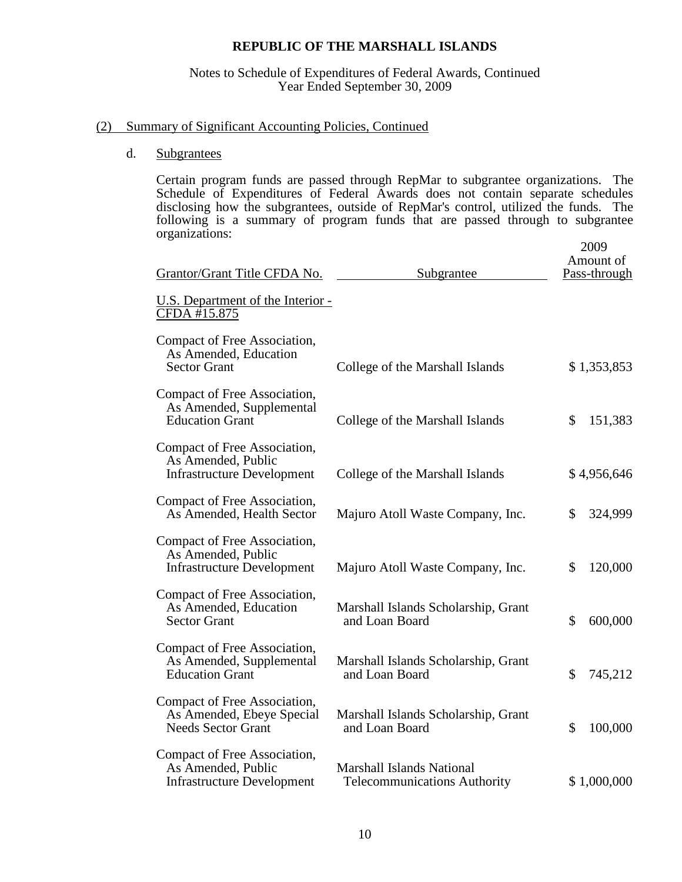### Notes to Schedule of Expenditures of Federal Awards, Continued Year Ended September 30, 2009

## (2) Summary of Significant Accounting Policies, Continued

d. Subgrantees

Certain program funds are passed through RepMar to subgrantee organizations. The Schedule of Expenditures of Federal Awards does not contain separate schedules disclosing how the subgrantees, outside of RepMar's control, utilized the funds. The following is a summary of program funds that are passed through to subgrantee organizations:

2009

| Grantor/Grant Title CFDA No.                                                            | Subgrantee                                                              | Amount of<br>Pass-through |
|-----------------------------------------------------------------------------------------|-------------------------------------------------------------------------|---------------------------|
| <u>U.S. Department of the Interior -</u><br>CFDA #15.875                                |                                                                         |                           |
| Compact of Free Association,<br>As Amended, Education<br><b>Sector Grant</b>            | College of the Marshall Islands                                         | \$1,353,853               |
| Compact of Free Association,<br>As Amended, Supplemental<br><b>Education Grant</b>      | College of the Marshall Islands                                         | \$<br>151,383             |
| Compact of Free Association,<br>As Amended, Public<br><b>Infrastructure Development</b> | College of the Marshall Islands                                         | \$4,956,646               |
| Compact of Free Association,<br>As Amended, Health Sector                               | Majuro Atoll Waste Company, Inc.                                        | 324,999<br>\$             |
| Compact of Free Association,<br>As Amended, Public<br><b>Infrastructure Development</b> | Majuro Atoll Waste Company, Inc.                                        | 120,000<br>\$             |
| Compact of Free Association,<br>As Amended, Education<br><b>Sector Grant</b>            | Marshall Islands Scholarship, Grant<br>and Loan Board                   | $\mathcal{S}$<br>600,000  |
| Compact of Free Association,<br>As Amended, Supplemental<br><b>Education Grant</b>      | Marshall Islands Scholarship, Grant<br>and Loan Board                   | \$<br>745,212             |
| Compact of Free Association,<br>As Amended, Ebeye Special<br><b>Needs Sector Grant</b>  | Marshall Islands Scholarship, Grant<br>and Loan Board                   | \$<br>100,000             |
| Compact of Free Association,<br>As Amended, Public<br><b>Infrastructure Development</b> | <b>Marshall Islands National</b><br><b>Telecommunications Authority</b> | \$1,000,000               |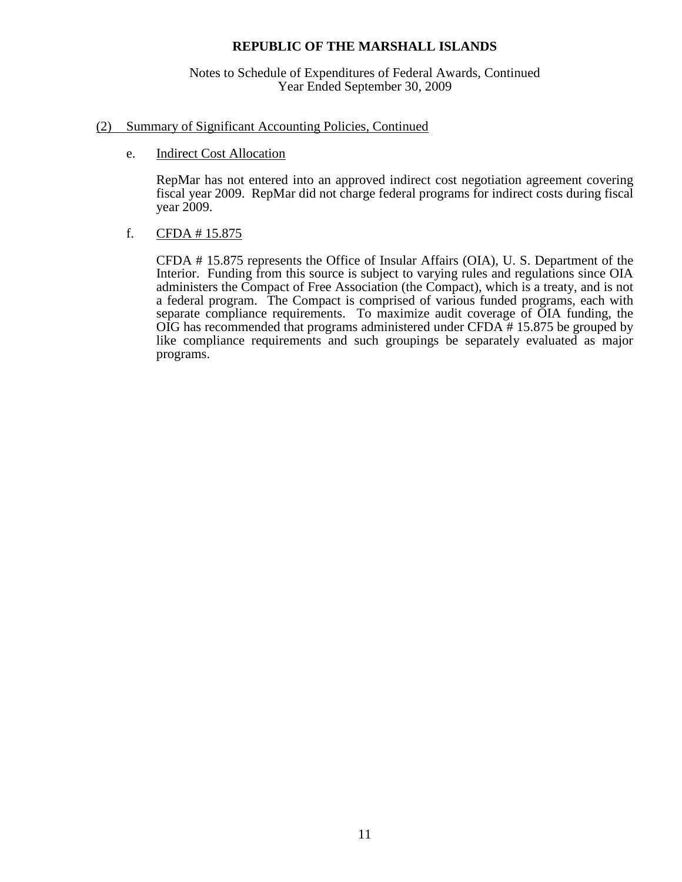## Notes to Schedule of Expenditures of Federal Awards, Continued Year Ended September 30, 2009

# (2) Summary of Significant Accounting Policies, Continued

e. Indirect Cost Allocation

RepMar has not entered into an approved indirect cost negotiation agreement covering fiscal year 2009. RepMar did not charge federal programs for indirect costs during fiscal year 2009.

f. CFDA # 15.875

CFDA # 15.875 represents the Office of Insular Affairs (OIA), U. S. Department of the Interior. Funding from this source is subject to varying rules and regulations since OIA administers the Compact of Free Association (the Compact), which is a treaty, and is not a federal program. The Compact is comprised of various funded programs, each with separate compliance requirements. To maximize audit coverage of OIA funding, the OIG has recommended that programs administered under CFDA # 15.875 be grouped by like compliance requirements and such groupings be separately evaluated as major programs.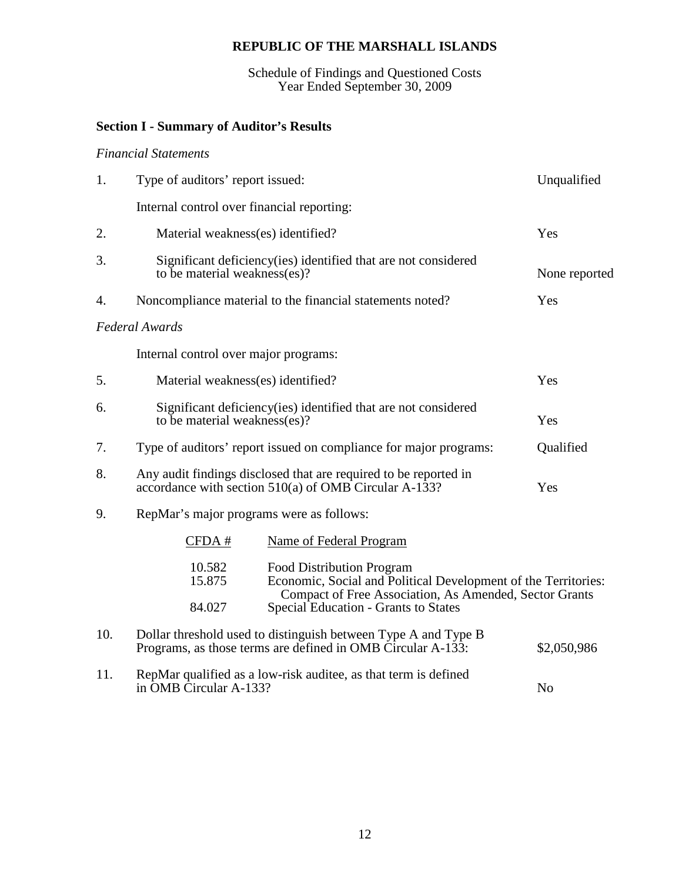Schedule of Findings and Questioned Costs Year Ended September 30, 2009

# **Section I - Summary of Auditor's Results**

### *Financial Statements*

| 1.  | Type of auditors' report issued:                                                                                                             | Unqualified                                                                                           |     |  |  |  |
|-----|----------------------------------------------------------------------------------------------------------------------------------------------|-------------------------------------------------------------------------------------------------------|-----|--|--|--|
|     | Internal control over financial reporting:                                                                                                   |                                                                                                       |     |  |  |  |
| 2.  | Material weakness(es) identified?                                                                                                            |                                                                                                       | Yes |  |  |  |
| 3.  |                                                                                                                                              | Significant deficiency (ies) identified that are not considered<br>to be material weakness(es)?       |     |  |  |  |
| 4.  |                                                                                                                                              | Noncompliance material to the financial statements noted?                                             | Yes |  |  |  |
|     | <b>Federal Awards</b>                                                                                                                        |                                                                                                       |     |  |  |  |
|     | Internal control over major programs:                                                                                                        |                                                                                                       |     |  |  |  |
| 5.  | Material weakness(es) identified?                                                                                                            | Yes                                                                                                   |     |  |  |  |
| 6.  | Significant deficiency (ies) identified that are not considered<br>to be material weakness(es)?                                              | Yes                                                                                                   |     |  |  |  |
| 7.  | Type of auditors' report issued on compliance for major programs:                                                                            | Qualified                                                                                             |     |  |  |  |
| 8.  | Any audit findings disclosed that are required to be reported in<br>accordance with section $510(a)$ of OMB Circular A-133?<br>Yes           |                                                                                                       |     |  |  |  |
| 9.  |                                                                                                                                              | RepMar's major programs were as follows:                                                              |     |  |  |  |
|     | CFDA#                                                                                                                                        | <b>Name of Federal Program</b>                                                                        |     |  |  |  |
|     | 10.582<br>15.875                                                                                                                             | Economic, Social and Political Development of the Territories:                                        |     |  |  |  |
|     | 84.027                                                                                                                                       | Compact of Free Association, As Amended, Sector Grants<br><b>Special Education - Grants to States</b> |     |  |  |  |
| 10. | Dollar threshold used to distinguish between Type A and Type B<br>Programs, as those terms are defined in OMB Circular A-133:<br>\$2,050,986 |                                                                                                       |     |  |  |  |
| 11. | RepMar qualified as a low-risk auditee, as that term is defined                                                                              |                                                                                                       |     |  |  |  |

in OMB Circular A-133?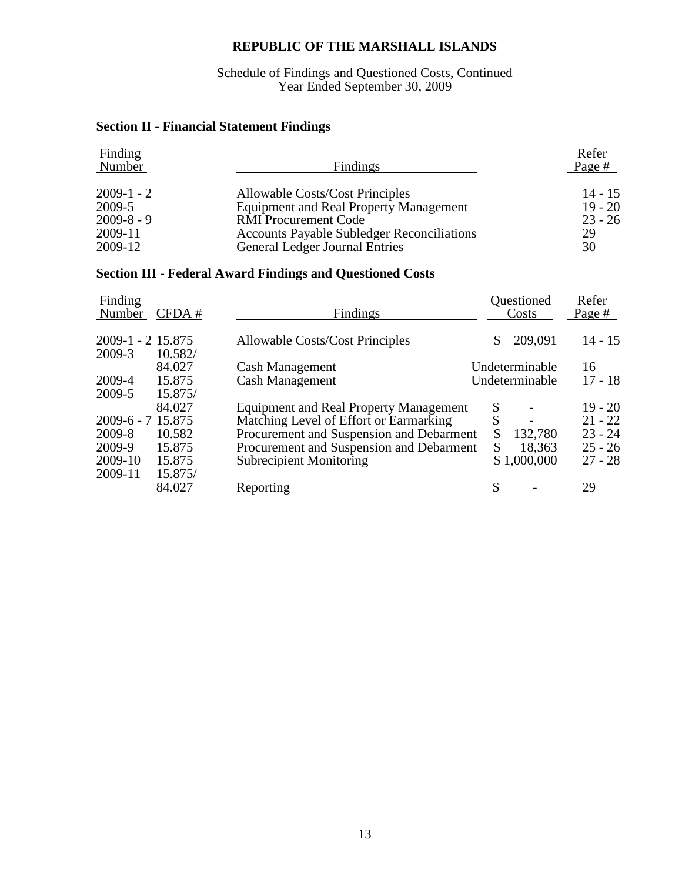Schedule of Findings and Questioned Costs, Continued Year Ended September 30, 2009

# **Section II - Financial Statement Findings**

| Finding<br>Number | Findings                                          | Refer<br>Page # |
|-------------------|---------------------------------------------------|-----------------|
| $2009-1 - 2$      | <b>Allowable Costs/Cost Principles</b>            | $14 - 15$       |
| 2009-5            | <b>Equipment and Real Property Management</b>     | $19 - 20$       |
| $2009 - 8 - 9$    | <b>RMI Procurement Code</b>                       | $23 - 26$       |
| 2009-11           | <b>Accounts Payable Subledger Reconciliations</b> | 29              |
| 2009-12           | <b>General Ledger Journal Entries</b>             | 30              |

# **Section III - Federal Award Findings and Questioned Costs**

| Finding<br>Number     | CFDA#             | Findings                                      |    | Questioned<br>Costs | Refer<br>Page $#$ |  |
|-----------------------|-------------------|-----------------------------------------------|----|---------------------|-------------------|--|
| $2009 - 1 - 2$ 15.875 |                   | <b>Allowable Costs/Cost Principles</b>        | \$ | 209,091             | $14 - 15$         |  |
| 2009-3                | 10.582/<br>84.027 | Cash Management                               |    | Undeterminable      | 16                |  |
| 2009-4<br>2009-5      | 15.875<br>15.875/ | <b>Cash Management</b>                        |    | Undeterminable      | $17 - 18$         |  |
|                       | 84.027            | <b>Equipment and Real Property Management</b> |    |                     | $19 - 20$         |  |
| $2009 - 6 - 7$ 15.875 |                   | Matching Level of Effort or Earmarking        | \$ |                     | $21 - 22$         |  |
| 2009-8                | 10.582            | Procurement and Suspension and Debarment      | \$ | 132,780             | $23 - 24$         |  |
| 2009-9                | 15.875            | Procurement and Suspension and Debarment      | \$ | 18,363              | $25 - 26$         |  |
| 2009-10               | 15.875            | <b>Subrecipient Monitoring</b>                |    | \$1,000,000         | $27 - 28$         |  |
| 2009-11               | 15.875/<br>84.027 | Reporting                                     |    |                     | 29                |  |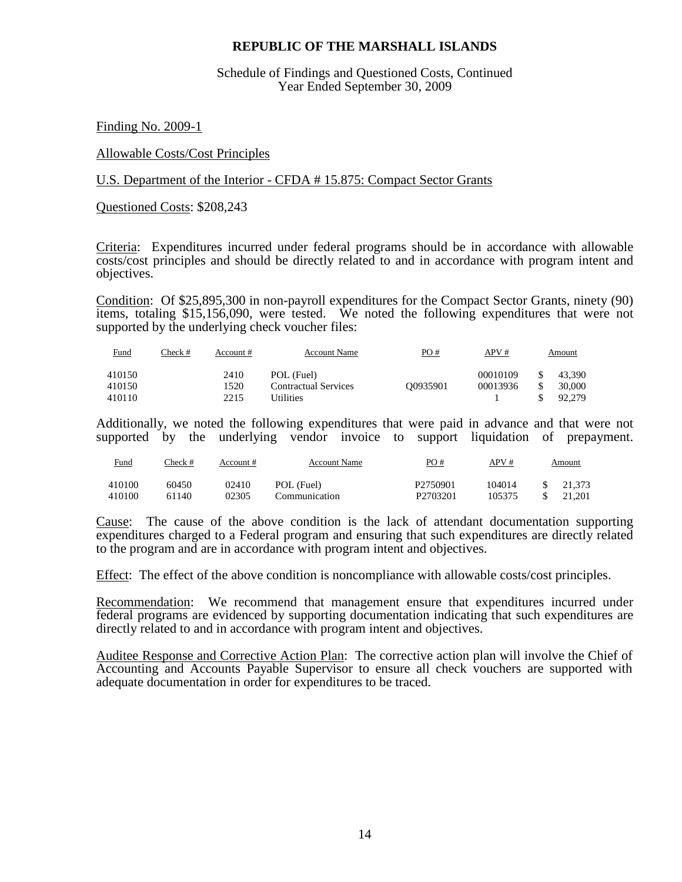### Schedule of Findings and Questioned Costs, Continued Year Ended September 30, 2009

Finding No. 2009-1

## Allowable Costs/Cost Principles

## U.S. Department of the Interior - CFDA # 15.875: Compact Sector Grants

Questioned Costs: \$208,243

Criteria: Expenditures incurred under federal programs should be in accordance with allowable costs/cost principles and should be directly related to and in accordance with program intent and objectives.

Condition: Of \$25,895,300 in non-payroll expenditures for the Compact Sector Grants, ninety (90) items, totaling \$15,156,090, were tested. We noted the following expenditures that were not supported by the underlying check voucher files:

| Fund   | Check # | Account # | <b>Account Name</b>         | PO#      | APV #    | Amount |
|--------|---------|-----------|-----------------------------|----------|----------|--------|
| 410150 |         | 2410      | POL (Fuel)                  |          | 00010109 | 43.390 |
| 410150 |         | 1520      | <b>Contractual Services</b> | 00935901 | 00013936 | 30,000 |
| 410110 |         | 2215      | Utilities                   |          |          | 92.279 |

Additionally, we noted the following expenditures that were paid in advance and that were not supported by the underlying vendor invoice to support liquidation of prepayment.

| <b>Fund</b> | Check # | Account # | Account Name  | PO#                  | APV #  | Amount |
|-------------|---------|-----------|---------------|----------------------|--------|--------|
| 410100      | 60450   | 02410     | POL (Fuel)    | P <sub>2750901</sub> | 104014 | 21.373 |
| 410100      | 61140   | 02305     | Communication | P <sub>2703201</sub> | 105375 | 21.201 |

Cause: The cause of the above condition is the lack of attendant documentation supporting expenditures charged to a Federal program and ensuring that such expenditures are directly related to the program and are in accordance with program intent and objectives.

Effect: The effect of the above condition is noncompliance with allowable costs/cost principles.

Recommendation: We recommend that management ensure that expenditures incurred under federal programs are evidenced by supporting documentation indicating that such expenditures are directly related to and in accordance with program intent and objectives.

Auditee Response and Corrective Action Plan: The corrective action plan will involve the Chief of Accounting and Accounts Payable Supervisor to ensure all check vouchers are supported with adequate documentation in order for expenditures to be traced.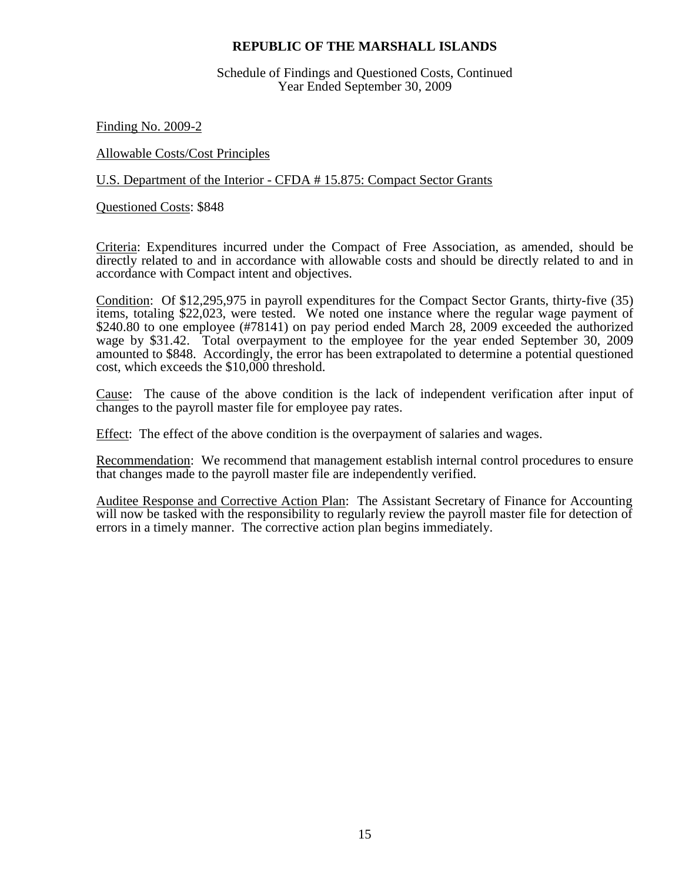Schedule of Findings and Questioned Costs, Continued Year Ended September 30, 2009

Finding No. 2009-2

Allowable Costs/Cost Principles

U.S. Department of the Interior - CFDA # 15.875: Compact Sector Grants

Questioned Costs: \$848

Criteria: Expenditures incurred under the Compact of Free Association, as amended, should be directly related to and in accordance with allowable costs and should be directly related to and in accordance with Compact intent and objectives.

Condition: Of \$12,295,975 in payroll expenditures for the Compact Sector Grants, thirty-five (35) items, totaling \$22,023, were tested. We noted one instance where the regular wage payment of \$240.80 to one employee (#78141) on pay period ended March 28, 2009 exceeded the authorized wage by \$31.42. Total overpayment to the employee for the year ended September 30, 2009 amounted to \$848. Accordingly, the error has been extrapolated to determine a potential questioned cost, which exceeds the \$10,000 threshold.

Cause: The cause of the above condition is the lack of independent verification after input of changes to the payroll master file for employee pay rates.

Effect: The effect of the above condition is the overpayment of salaries and wages.

Recommendation: We recommend that management establish internal control procedures to ensure that changes made to the payroll master file are independently verified.

Auditee Response and Corrective Action Plan: The Assistant Secretary of Finance for Accounting will now be tasked with the responsibility to regularly review the payroll master file for detection of errors in a timely manner. The corrective action plan begins immediately.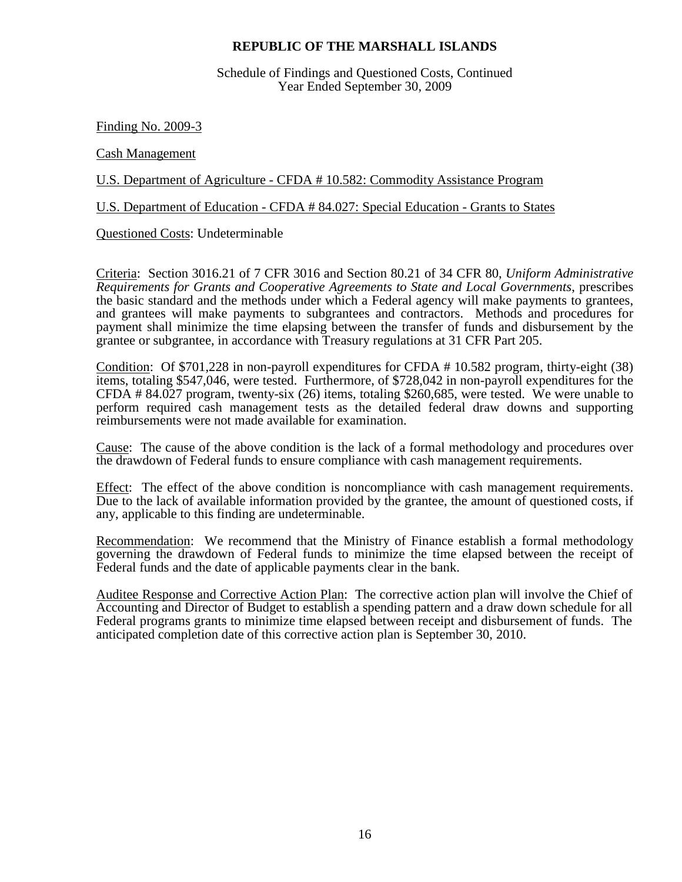Schedule of Findings and Questioned Costs, Continued Year Ended September 30, 2009

Finding No. 2009-3

Cash Management

U.S. Department of Agriculture - CFDA # 10.582: Commodity Assistance Program

U.S. Department of Education - CFDA # 84.027: Special Education - Grants to States

Questioned Costs: Undeterminable

Criteria: Section 3016.21 of 7 CFR 3016 and Section 80.21 of 34 CFR 80, *Uniform Administrative Requirements for Grants and Cooperative Agreements to State and Local Governments*, prescribes the basic standard and the methods under which a Federal agency will make payments to grantees, and grantees will make payments to subgrantees and contractors. Methods and procedures for payment shall minimize the time elapsing between the transfer of funds and disbursement by the grantee or subgrantee, in accordance with Treasury regulations at 31 CFR Part 205.

Condition: Of \$701,228 in non-payroll expenditures for CFDA # 10.582 program, thirty-eight (38) items, totaling \$547,046, were tested. Furthermore, of \$728,042 in non-payroll expenditures for the CFDA # 84.027 program, twenty-six (26) items, totaling \$260,685, were tested. We were unable to perform required cash management tests as the detailed federal draw downs and supporting reimbursements were not made available for examination.

Cause: The cause of the above condition is the lack of a formal methodology and procedures over the drawdown of Federal funds to ensure compliance with cash management requirements.

Effect: The effect of the above condition is noncompliance with cash management requirements. Due to the lack of available information provided by the grantee, the amount of questioned costs, if any, applicable to this finding are undeterminable.

Recommendation: We recommend that the Ministry of Finance establish a formal methodology governing the drawdown of Federal funds to minimize the time elapsed between the receipt of Federal funds and the date of applicable payments clear in the bank.

Auditee Response and Corrective Action Plan: The corrective action plan will involve the Chief of Accounting and Director of Budget to establish a spending pattern and a draw down schedule for all Federal programs grants to minimize time elapsed between receipt and disbursement of funds. The anticipated completion date of this corrective action plan is September 30, 2010.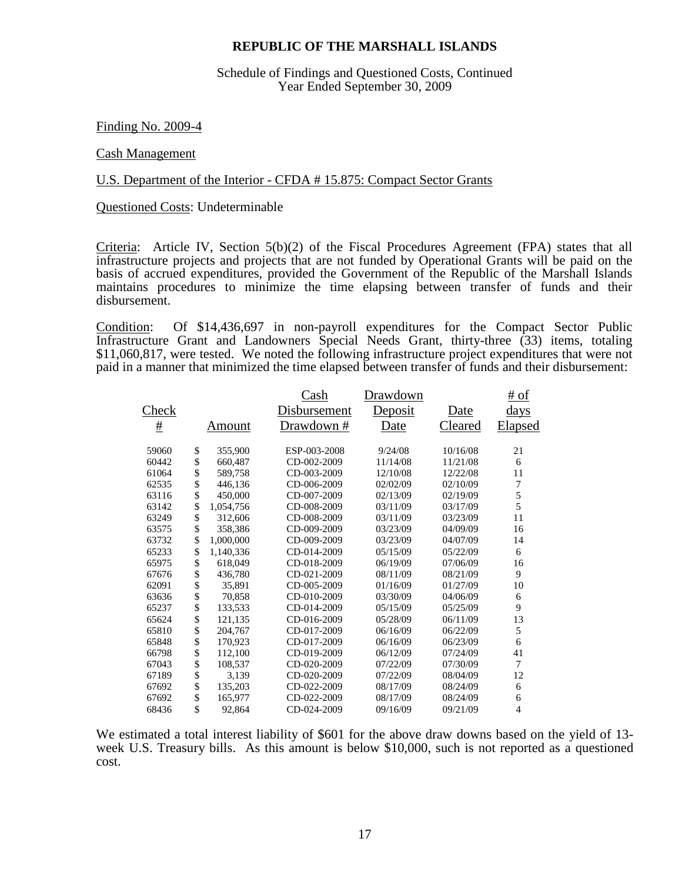### Schedule of Findings and Questioned Costs, Continued Year Ended September 30, 2009

Finding No. 2009-4

### Cash Management

## U.S. Department of the Interior - CFDA # 15.875: Compact Sector Grants

#### Questioned Costs: Undeterminable

Criteria: Article IV, Section 5(b)(2) of the Fiscal Procedures Agreement (FPA) states that all infrastructure projects and projects that are not funded by Operational Grants will be paid on the basis of accrued expenditures, provided the Government of the Republic of the Marshall Islands maintains procedures to minimize the time elapsing between transfer of funds and their disbursement.

Condition: Of \$14,436,697 in non-payroll expenditures for the Compact Sector Public Infrastructure Grant and Landowners Special Needs Grant, thirty-three (33) items, totaling \$11,060,817, were tested. We noted the following infrastructure project expenditures that were not paid in a manner that minimized the time elapsed between transfer of funds and their disbursement:

|       |                 | Cash         | Drawdown |          | # of             |
|-------|-----------------|--------------|----------|----------|------------------|
| Check |                 | Disbursement | Deposit  | Date     | $\frac{days}{9}$ |
| $\#$  | Amount          | Drawdown #   | Date     | Cleared  | Elapsed          |
| 59060 | \$<br>355,900   | ESP-003-2008 | 9/24/08  | 10/16/08 | 21               |
| 60442 | \$<br>660,487   | CD-002-2009  | 11/14/08 | 11/21/08 | 6                |
| 61064 | \$<br>589.758   | CD-003-2009  | 12/10/08 | 12/22/08 | 11               |
| 62535 | \$<br>446,136   | CD-006-2009  | 02/02/09 | 02/10/09 | 7                |
| 63116 | \$<br>450,000   | CD-007-2009  | 02/13/09 | 02/19/09 | 5                |
| 63142 | \$<br>1,054,756 | CD-008-2009  | 03/11/09 | 03/17/09 | 5                |
| 63249 | \$<br>312,606   | CD-008-2009  | 03/11/09 | 03/23/09 | 11               |
| 63575 | \$<br>358,386   | CD-009-2009  | 03/23/09 | 04/09/09 | 16               |
| 63732 | \$<br>1,000,000 | CD-009-2009  | 03/23/09 | 04/07/09 | 14               |
| 65233 | \$<br>1,140,336 | CD-014-2009  | 05/15/09 | 05/22/09 | 6                |
| 65975 | \$<br>618,049   | CD-018-2009  | 06/19/09 | 07/06/09 | 16               |
| 67676 | \$<br>436,780   | CD-021-2009  | 08/11/09 | 08/21/09 | 9                |
| 62091 | \$<br>35.891    | CD-005-2009  | 01/16/09 | 01/27/09 | 10               |
| 63636 | \$<br>70.858    | CD-010-2009  | 03/30/09 | 04/06/09 | 6                |
| 65237 | \$<br>133,533   | CD-014-2009  | 05/15/09 | 05/25/09 | 9                |
| 65624 | \$<br>121,135   | CD-016-2009  | 05/28/09 | 06/11/09 | 13               |
| 65810 | \$<br>204,767   | CD-017-2009  | 06/16/09 | 06/22/09 | 5                |
| 65848 | \$<br>170,923   | CD-017-2009  | 06/16/09 | 06/23/09 | 6                |
| 66798 | \$<br>112,100   | CD-019-2009  | 06/12/09 | 07/24/09 | 41               |
| 67043 | \$<br>108,537   | CD-020-2009  | 07/22/09 | 07/30/09 | 7                |
| 67189 | \$<br>3,139     | CD-020-2009  | 07/22/09 | 08/04/09 | 12               |
| 67692 | \$<br>135,203   | CD-022-2009  | 08/17/09 | 08/24/09 | 6                |
| 67692 | \$<br>165,977   | CD-022-2009  | 08/17/09 | 08/24/09 | 6                |
| 68436 | \$<br>92,864    | CD-024-2009  | 09/16/09 | 09/21/09 | $\overline{4}$   |
|       |                 |              |          |          |                  |

We estimated a total interest liability of \$601 for the above draw downs based on the yield of 13-week U.S. Treasury bills. As this amount is below \$10,000, such is not reported as a questioned cost.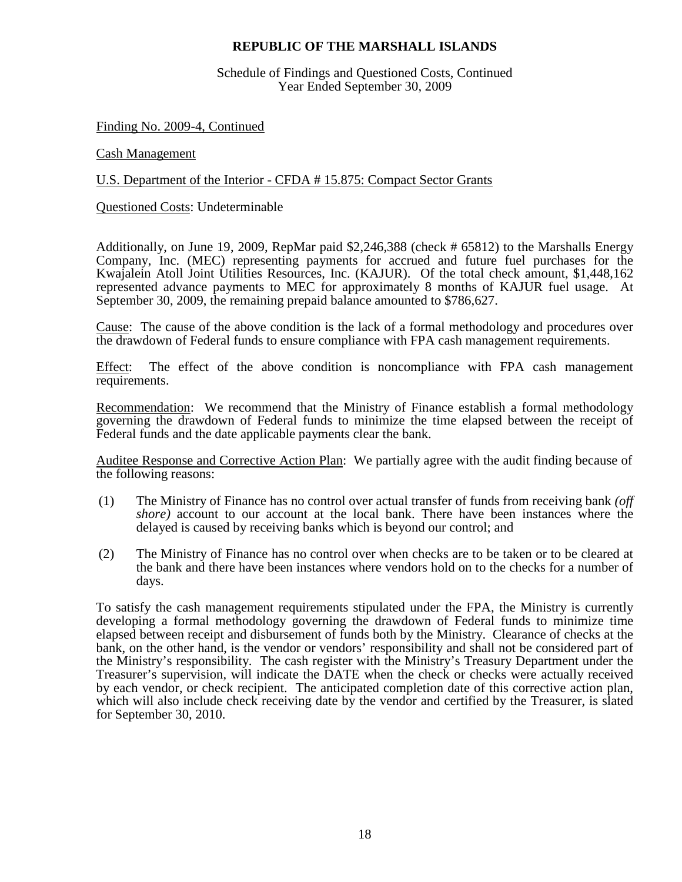Schedule of Findings and Questioned Costs, Continued Year Ended September 30, 2009

Finding No. 2009-4, Continued

Cash Management

# U.S. Department of the Interior - CFDA # 15.875: Compact Sector Grants

Questioned Costs: Undeterminable

Additionally, on June 19, 2009, RepMar paid \$2,246,388 (check # 65812) to the Marshalls Energy Company, Inc. (MEC) representing payments for accrued and future fuel purchases for the Kwajalein Atoll Joint Utilities Resources, Inc. (KAJUR). Of the total check amount, \$1,448,162 represented advance payments to MEC for approximately 8 months of KAJUR fuel usage. At September 30, 2009, the remaining prepaid balance amounted to \$786,627.

Cause: The cause of the above condition is the lack of a formal methodology and procedures over the drawdown of Federal funds to ensure compliance with FPA cash management requirements.

Effect: The effect of the above condition is noncompliance with FPA cash management requirements.

Recommendation: We recommend that the Ministry of Finance establish a formal methodology governing the drawdown of Federal funds to minimize the time elapsed between the receipt of Federal funds and the date applicable payments clear the bank.

Auditee Response and Corrective Action Plan: We partially agree with the audit finding because of the following reasons:

- (1) The Ministry of Finance has no control over actual transfer of funds from receiving bank *(off shore)* account to our account at the local bank. There have been instances where the delayed is caused by receiving banks which is beyond our control; and
- (2) The Ministry of Finance has no control over when checks are to be taken or to be cleared at the bank and there have been instances where vendors hold on to the checks for a number of days.

To satisfy the cash management requirements stipulated under the FPA, the Ministry is currently developing a formal methodology governing the drawdown of Federal funds to minimize time elapsed between receipt and disbursement of funds both by the Ministry. Clearance of checks at the bank, on the other hand, is the vendor or vendors' responsibility and shall not be considered part of the Ministry's responsibility. The cash register with the Ministry's Treasury Department under the Treasurer's supervision, will indicate the DATE when the check or checks were actually received by each vendor, or check recipient. The anticipated completion date of this corrective action plan, which will also include check receiving date by the vendor and certified by the Treasurer, is slated for September 30, 2010.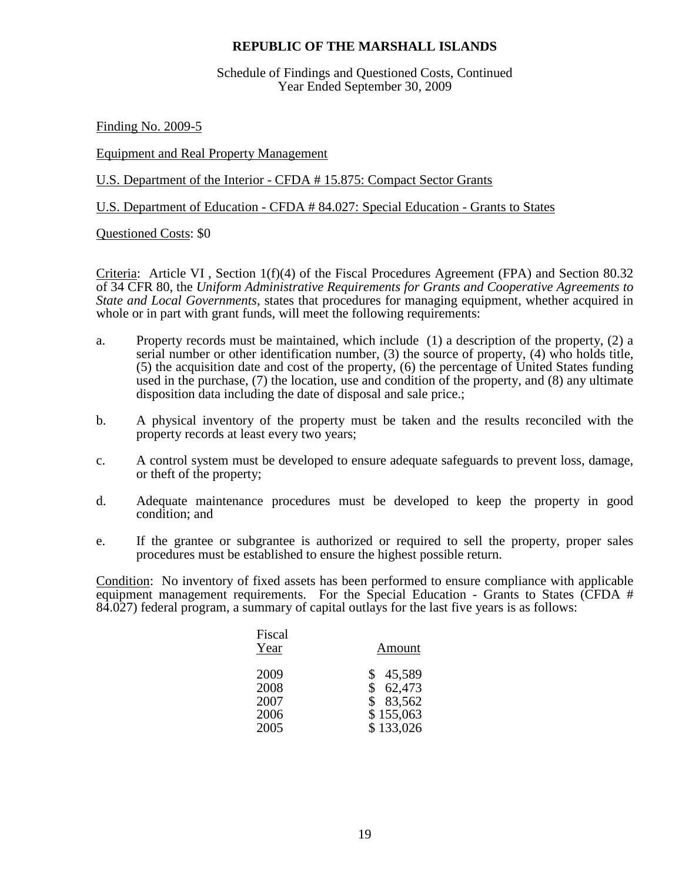Schedule of Findings and Questioned Costs, Continued Year Ended September 30, 2009

Finding No. 2009-5

## Equipment and Real Property Management

U.S. Department of the Interior - CFDA # 15.875: Compact Sector Grants

U.S. Department of Education - CFDA # 84.027: Special Education - Grants to States

Questioned Costs: \$0

Criteria: Article VI , Section 1(f)(4) of the Fiscal Procedures Agreement (FPA) and Section 80.32 of 34 CFR 80, the *Uniform Administrative Requirements for Grants and Cooperative Agreements to State and Local Governments*, states that procedures for managing equipment, whether acquired in whole or in part with grant funds, will meet the following requirements:

- a. Property records must be maintained, which include (1) a description of the property, (2) a serial number or other identification number, (3) the source of property, (4) who holds title, (5) the acquisition date and cost of the property, (6) the percentage of United States funding used in the purchase, (7) the location, use and condition of the property, and (8) any ultimate disposition data including the date of disposal and sale price.;
- b. A physical inventory of the property must be taken and the results reconciled with the property records at least every two years;
- c. A control system must be developed to ensure adequate safeguards to prevent loss, damage, or theft of the property;
- d. Adequate maintenance procedures must be developed to keep the property in good condition; and
- e. If the grantee or subgrantee is authorized or required to sell the property, proper sales procedures must be established to ensure the highest possible return.

Condition: No inventory of fixed assets has been performed to ensure compliance with applicable equipment management requirements. For the Special Education - Grants to States (CFDA # 84.027) federal program, a summary of capital outlays for the last five years is as follows:

| Fiscal<br>Year                       | Amount                                                     |
|--------------------------------------|------------------------------------------------------------|
| 2009<br>2008<br>2007<br>2006<br>2005 | 45,589<br>62,473<br>\$<br>83,562<br>\$155,063<br>\$133,026 |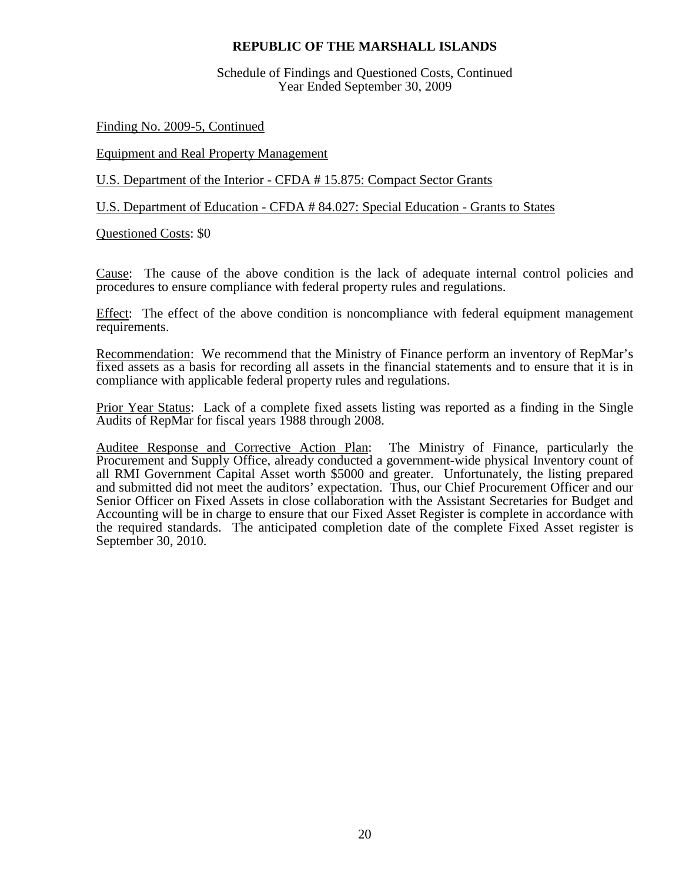Schedule of Findings and Questioned Costs, Continued Year Ended September 30, 2009

Finding No. 2009-5, Continued

Equipment and Real Property Management

U.S. Department of the Interior - CFDA # 15.875: Compact Sector Grants

U.S. Department of Education - CFDA # 84.027: Special Education - Grants to States

Questioned Costs: \$0

Cause: The cause of the above condition is the lack of adequate internal control policies and procedures to ensure compliance with federal property rules and regulations.

Effect: The effect of the above condition is noncompliance with federal equipment management requirements.

Recommendation: We recommend that the Ministry of Finance perform an inventory of RepMar's fixed assets as a basis for recording all assets in the financial statements and to ensure that it is in compliance with applicable federal property rules and regulations.

Prior Year Status: Lack of a complete fixed assets listing was reported as a finding in the Single Audits of RepMar for fiscal years 1988 through 2008.

Auditee Response and Corrective Action Plan: The Ministry of Finance, particularly the Procurement and Supply Office, already conducted a government-wide physical Inventory count of all RMI Government Capital Asset worth \$5000 and greater. Unfortunately, the listing prepared and submitted did not meet the auditors' expectation. Thus, our Chief Procurement Officer and our Senior Officer on Fixed Assets in close collaboration with the Assistant Secretaries for Budget and Accounting will be in charge to ensure that our Fixed Asset Register is complete in accordance with the required standards. The anticipated completion date of the complete Fixed Asset register is September 30, 2010.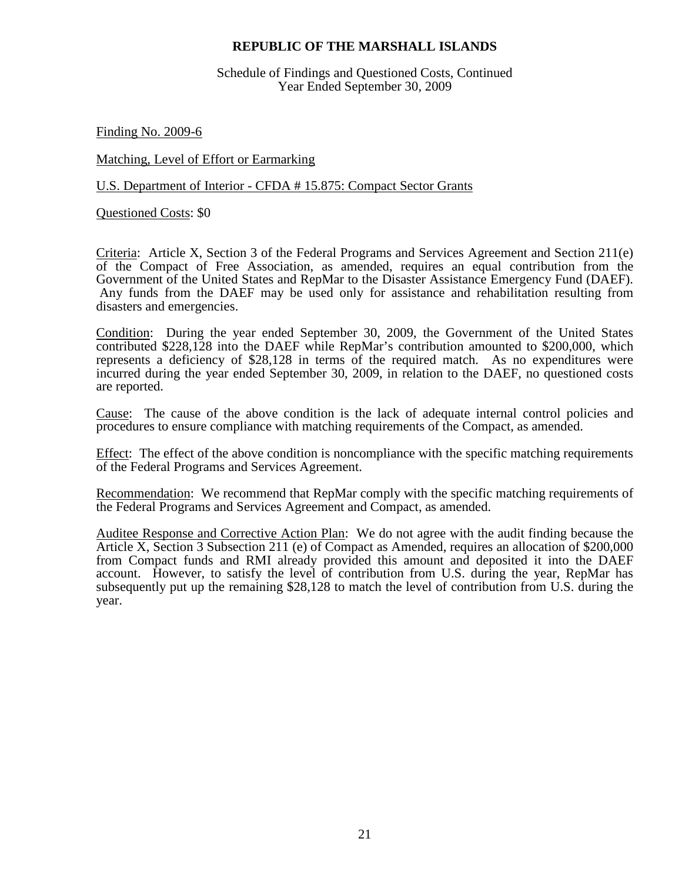Schedule of Findings and Questioned Costs, Continued Year Ended September 30, 2009

Finding No. 2009-6

## Matching, Level of Effort or Earmarking

## U.S. Department of Interior - CFDA # 15.875: Compact Sector Grants

Questioned Costs: \$0

Criteria: Article X, Section 3 of the Federal Programs and Services Agreement and Section 211(e) of the Compact of Free Association, as amended, requires an equal contribution from the Government of the United States and RepMar to the Disaster Assistance Emergency Fund (DAEF). Any funds from the DAEF may be used only for assistance and rehabilitation resulting from disasters and emergencies.

Condition: During the year ended September 30, 2009, the Government of the United States contributed \$228,128 into the DAEF while RepMar's contribution amounted to \$200,000, which represents a deficiency of \$28,128 in terms of the required match. As no expenditures were incurred during the year ended September 30, 2009, in relation to the DAEF, no questioned costs are reported.

Cause: The cause of the above condition is the lack of adequate internal control policies and procedures to ensure compliance with matching requirements of the Compact, as amended.

Effect: The effect of the above condition is noncompliance with the specific matching requirements of the Federal Programs and Services Agreement.

Recommendation: We recommend that RepMar comply with the specific matching requirements of the Federal Programs and Services Agreement and Compact, as amended.

Auditee Response and Corrective Action Plan: We do not agree with the audit finding because the Article X, Section 3 Subsection 211 (e) of Compact as Amended, requires an allocation of \$200,000 from Compact funds and RMI already provided this amount and deposited it into the DAEF account. However, to satisfy the level of contribution from U.S. during the year, RepMar has subsequently put up the remaining \$28,128 to match the level of contribution from U.S. during the year.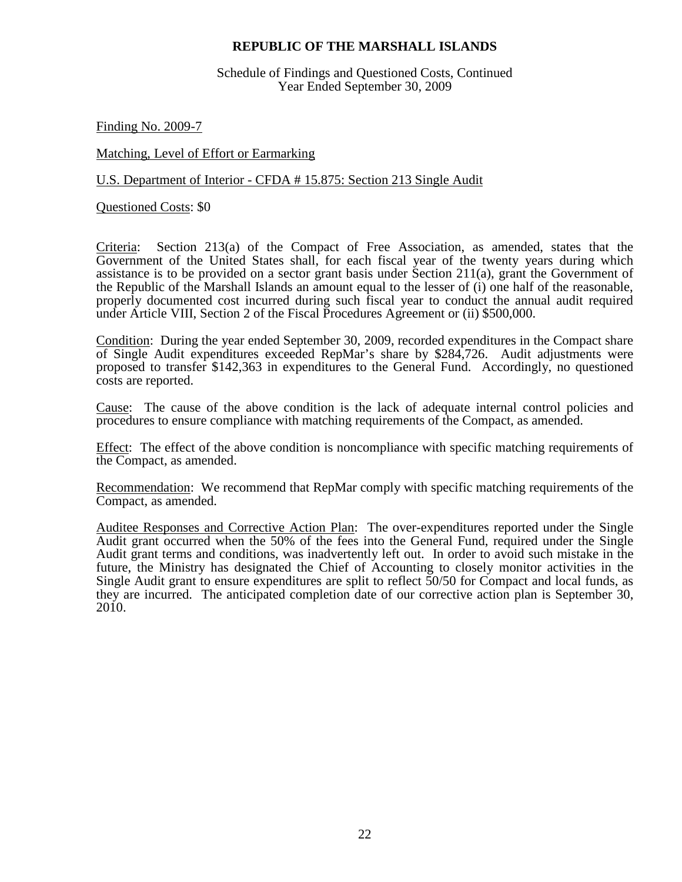Schedule of Findings and Questioned Costs, Continued Year Ended September 30, 2009

Finding No. 2009-7

Matching, Level of Effort or Earmarking

U.S. Department of Interior - CFDA # 15.875: Section 213 Single Audit

Questioned Costs: \$0

Criteria: Section 213(a) of the Compact of Free Association, as amended, states that the Government of the United States shall, for each fiscal year of the twenty years during which assistance is to be provided on a sector grant basis under Section 211(a), grant the Government of the Republic of the Marshall Islands an amount equal to the lesser of (i) one half of the reasonable, properly documented cost incurred during such fiscal year to conduct the annual audit required under Article VIII, Section 2 of the Fiscal Procedures Agreement or (ii) \$500,000.

Condition: During the year ended September 30, 2009, recorded expenditures in the Compact share of Single Audit expenditures exceeded RepMar's share by \$284,726. Audit adjustments were proposed to transfer \$142,363 in expenditures to the General Fund. Accordingly, no questioned costs are reported.

Cause: The cause of the above condition is the lack of adequate internal control policies and procedures to ensure compliance with matching requirements of the Compact, as amended.

Effect: The effect of the above condition is noncompliance with specific matching requirements of the Compact, as amended.

Recommendation: We recommend that RepMar comply with specific matching requirements of the Compact, as amended.

Auditee Responses and Corrective Action Plan: The over-expenditures reported under the Single Audit grant occurred when the 50% of the fees into the General Fund, required under the Single Audit grant terms and conditions, was inadvertently left out. In order to avoid such mistake in the future, the Ministry has designated the Chief of Accounting to closely monitor activities in the Single Audit grant to ensure expenditures are split to reflect 50/50 for Compact and local funds, as they are incurred. The anticipated completion date of our corrective action plan is September 30, 2010.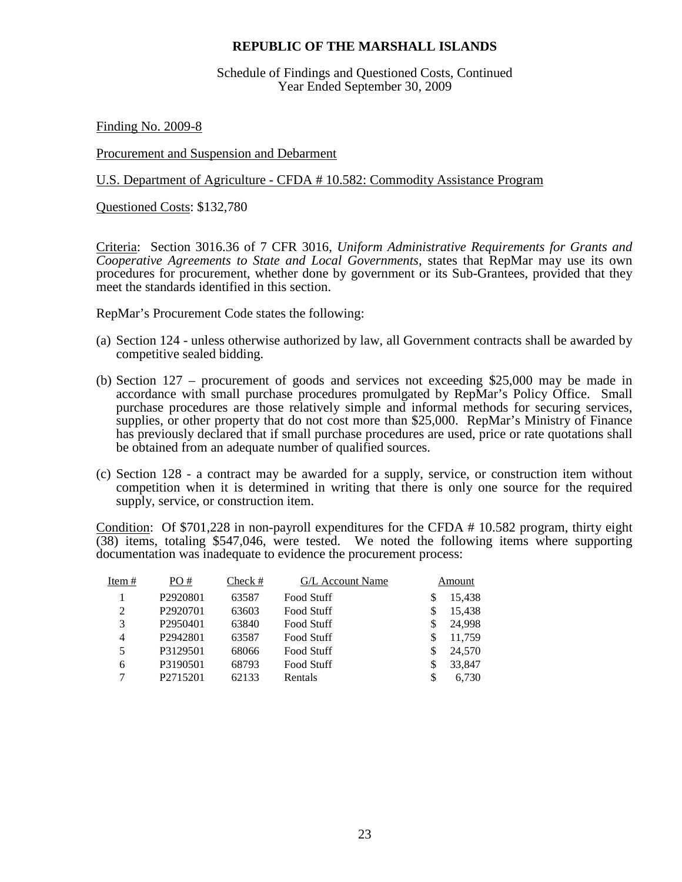Schedule of Findings and Questioned Costs, Continued Year Ended September 30, 2009

Finding No. 2009-8

Procurement and Suspension and Debarment

U.S. Department of Agriculture - CFDA # 10.582: Commodity Assistance Program

Questioned Costs: \$132,780

Criteria: Section 3016.36 of 7 CFR 3016, *Uniform Administrative Requirements for Grants and Cooperative Agreements to State and Local Governments*, states that RepMar may use its own procedures for procurement, whether done by government or its Sub-Grantees, provided that they meet the standards identified in this section.

RepMar's Procurement Code states the following:

- (a) Section 124 unless otherwise authorized by law, all Government contracts shall be awarded by competitive sealed bidding.
- (b) Section 127 procurement of goods and services not exceeding \$25,000 may be made in accordance with small purchase procedures promulgated by RepMar's Policy Office. Small purchase procedures are those relatively simple and informal methods for securing services, supplies, or other property that do not cost more than \$25,000. RepMar's Ministry of Finance has previously declared that if small purchase procedures are used, price or rate quotations shall be obtained from an adequate number of qualified sources.
- (c) Section 128 a contract may be awarded for a supply, service, or construction item without competition when it is determined in writing that there is only one source for the required supply, service, or construction item.

Condition: Of \$701,228 in non-payroll expenditures for the CFDA # 10.582 program, thirty eight (38) items, totaling \$547,046, were tested. We noted the following items where supporting documentation was inadequate to evidence the procurement process:

| Item# | PO#                  | Check # | G/L Account Name |    | Amount |
|-------|----------------------|---------|------------------|----|--------|
|       | P2920801             | 63587   | Food Stuff       | \$ | 15,438 |
| 2     | P2920701             | 63603   | Food Stuff       | \$ | 15,438 |
| 3     | P2950401             | 63840   | Food Stuff       | S  | 24,998 |
| 4     | P2942801             | 63587   | Food Stuff       | S  | 11,759 |
| 5     | P3129501             | 68066   | Food Stuff       | \$ | 24,570 |
| 6     | P3190501             | 68793   | Food Stuff       | \$ | 33,847 |
| 7     | P <sub>2715201</sub> | 62133   | Rentals          | \$ | 6.730  |
|       |                      |         |                  |    |        |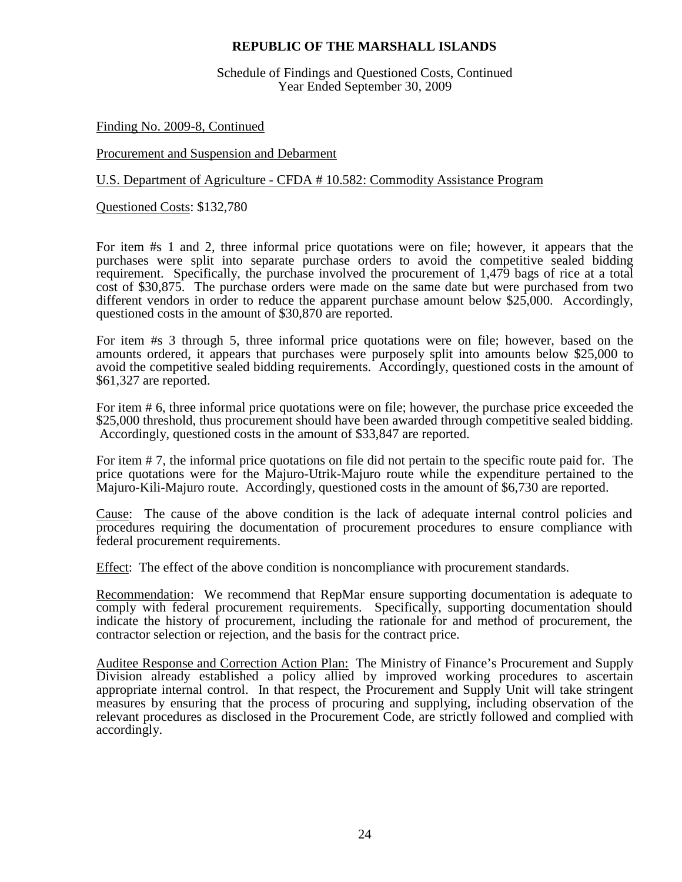Schedule of Findings and Questioned Costs, Continued Year Ended September 30, 2009

Finding No. 2009-8, Continued

Procurement and Suspension and Debarment

U.S. Department of Agriculture - CFDA # 10.582: Commodity Assistance Program

Questioned Costs: \$132,780

For item #s 1 and 2, three informal price quotations were on file; however, it appears that the purchases were split into separate purchase orders to avoid the competitive sealed bidding requirement. Specifically, the purchase involved the procurement of 1,479 bags of rice at a total cost of \$30,875. The purchase orders were made on the same date but were purchased from two different vendors in order to reduce the apparent purchase amount below \$25,000. Accordingly, questioned costs in the amount of \$30,870 are reported.

For item #s 3 through 5, three informal price quotations were on file; however, based on the amounts ordered, it appears that purchases were purposely split into amounts below \$25,000 to avoid the competitive sealed bidding requirements. Accordingly, questioned costs in the amount of \$61,327 are reported.

For item # 6, three informal price quotations were on file; however, the purchase price exceeded the \$25,000 threshold, thus procurement should have been awarded through competitive sealed bidding. Accordingly, questioned costs in the amount of \$33,847 are reported.

For item # 7, the informal price quotations on file did not pertain to the specific route paid for. The price quotations were for the Majuro-Utrik-Majuro route while the expenditure pertained to the Majuro-Kili-Majuro route. Accordingly, questioned costs in the amount of \$6,730 are reported.

Cause: The cause of the above condition is the lack of adequate internal control policies and procedures requiring the documentation of procurement procedures to ensure compliance with federal procurement requirements.

Effect: The effect of the above condition is noncompliance with procurement standards.

Recommendation: We recommend that RepMar ensure supporting documentation is adequate to comply with federal procurement requirements. Specifically, supporting documentation should indicate the history of procurement, including the rationale for and method of procurement, the contractor selection or rejection, and the basis for the contract price.

Auditee Response and Correction Action Plan: The Ministry of Finance's Procurement and Supply Division already established a policy allied by improved working procedures to ascertain appropriate internal control. In that respect, the Procurement and Supply Unit will take stringent measures by ensuring that the process of procuring and supplying, including observation of the relevant procedures as disclosed in the Procurement Code, are strictly followed and complied with accordingly.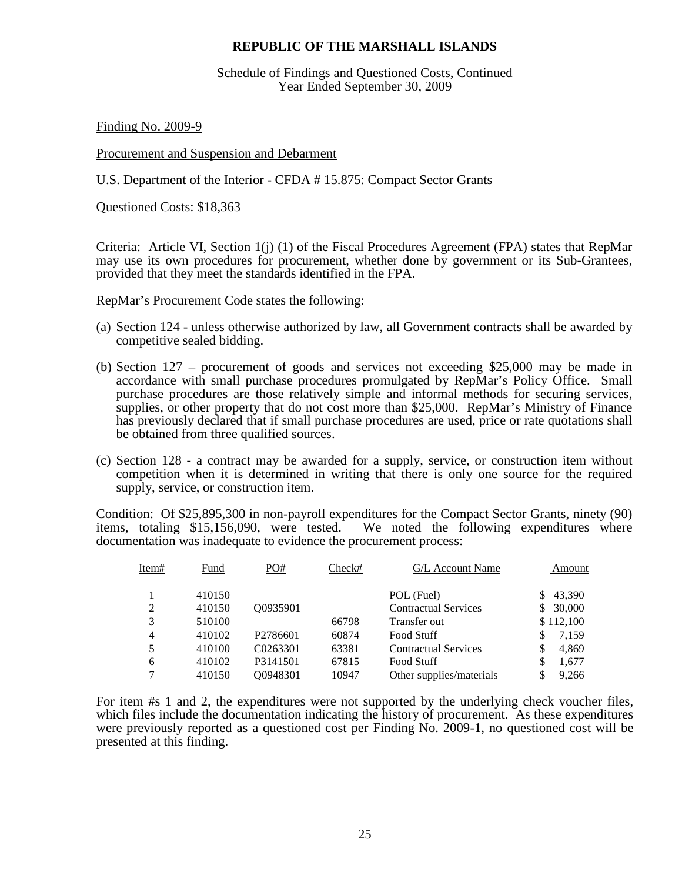Schedule of Findings and Questioned Costs, Continued Year Ended September 30, 2009

Finding No. 2009-9

### Procurement and Suspension and Debarment

## U.S. Department of the Interior - CFDA # 15.875: Compact Sector Grants

Questioned Costs: \$18,363

Criteria: Article VI, Section 1(j) (1) of the Fiscal Procedures Agreement (FPA) states that RepMar may use its own procedures for procurement, whether done by government or its Sub-Grantees, provided that they meet the standards identified in the FPA.

RepMar's Procurement Code states the following:

- (a) Section 124 unless otherwise authorized by law, all Government contracts shall be awarded by competitive sealed bidding.
- (b) Section 127 procurement of goods and services not exceeding \$25,000 may be made in accordance with small purchase procedures promulgated by RepMar's Policy Office. Small purchase procedures are those relatively simple and informal methods for securing services, supplies, or other property that do not cost more than \$25,000. RepMar's Ministry of Finance has previously declared that if small purchase procedures are used, price or rate quotations shall be obtained from three qualified sources.
- (c) Section 128 a contract may be awarded for a supply, service, or construction item without competition when it is determined in writing that there is only one source for the required supply, service, or construction item.

Condition: Of \$25,895,300 in non-payroll expenditures for the Compact Sector Grants, ninety (90) items, totaling \$15,156,090, were tested. We noted the following expenditures where documentation was inadequate to evidence the procurement process:

| Item# | Fund   | PO#      | Check# | G/L Account Name            | Amount       |
|-------|--------|----------|--------|-----------------------------|--------------|
|       | 410150 |          |        | POL (Fuel)                  | 43,390       |
| 2     | 410150 | Q0935901 |        | <b>Contractual Services</b> | 30,000<br>\$ |
| 3     | 510100 |          | 66798  | Transfer out                | \$112,100    |
| 4     | 410102 | P2786601 | 60874  | Food Stuff                  | 7,159<br>S   |
| 5     | 410100 | C0263301 | 63381  | <b>Contractual Services</b> | \$<br>4,869  |
| 6     | 410102 | P3141501 | 67815  | Food Stuff                  | 1,677        |
| 7     | 410150 | Q0948301 | 10947  | Other supplies/materials    | 9,266        |

For item #s 1 and 2, the expenditures were not supported by the underlying check voucher files, which files include the documentation indicating the history of procurement. As these expenditures were previously reported as a questioned cost per Finding No. 2009-1, no questioned cost will be presented at this finding.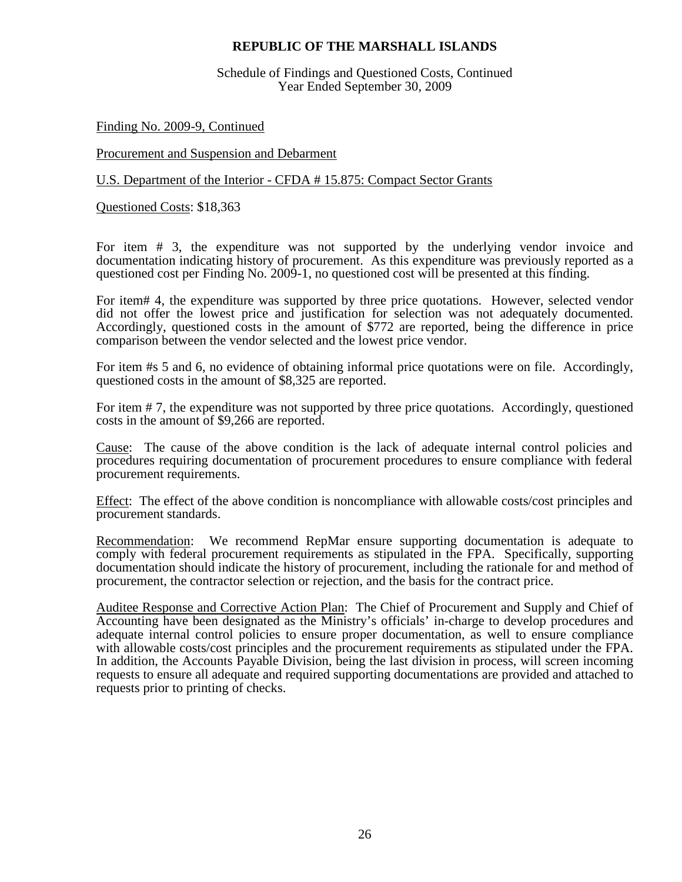Schedule of Findings and Questioned Costs, Continued Year Ended September 30, 2009

Finding No. 2009-9, Continued

Procurement and Suspension and Debarment

U.S. Department of the Interior - CFDA # 15.875: Compact Sector Grants

Questioned Costs: \$18,363

For item # 3, the expenditure was not supported by the underlying vendor invoice and documentation indicating history of procurement. As this expenditure was previously reported as a questioned cost per Finding No. 2009-1, no questioned cost will be presented at this finding.

For item# 4, the expenditure was supported by three price quotations. However, selected vendor did not offer the lowest price and justification for selection was not adequately documented. Accordingly, questioned costs in the amount of \$772 are reported, being the difference in price comparison between the vendor selected and the lowest price vendor.

For item #s 5 and 6, no evidence of obtaining informal price quotations were on file. Accordingly, questioned costs in the amount of \$8,325 are reported.

For item # 7, the expenditure was not supported by three price quotations. Accordingly, questioned costs in the amount of \$9,266 are reported.

Cause: The cause of the above condition is the lack of adequate internal control policies and procedures requiring documentation of procurement procedures to ensure compliance with federal procurement requirements.

Effect: The effect of the above condition is noncompliance with allowable costs/cost principles and procurement standards.

Recommendation: We recommend RepMar ensure supporting documentation is adequate to comply with federal procurement requirements as stipulated in the FPA. Specifically, supporting documentation should indicate the history of procurement, including the rationale for and method of procurement, the contractor selection or rejection, and the basis for the contract price.

Auditee Response and Corrective Action Plan: The Chief of Procurement and Supply and Chief of Accounting have been designated as the Ministry's officials' in-charge to develop procedures and adequate internal control policies to ensure proper documentation, as well to ensure compliance with allowable costs/cost principles and the procurement requirements as stipulated under the FPA. In addition, the Accounts Payable Division, being the last division in process, will screen incoming requests to ensure all adequate and required supporting documentations are provided and attached to requests prior to printing of checks.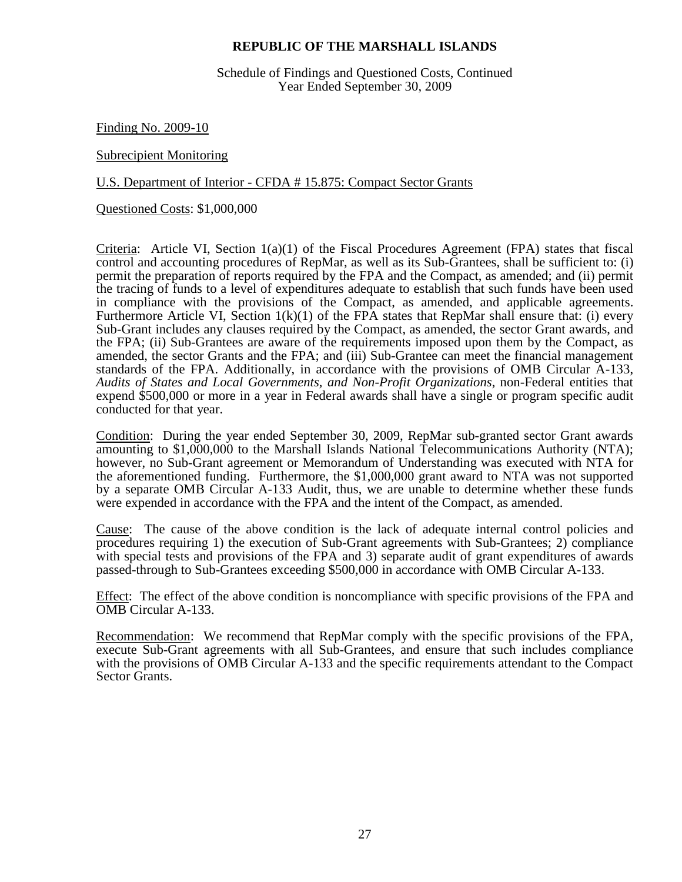Schedule of Findings and Questioned Costs, Continued Year Ended September 30, 2009

Finding No. 2009-10

Subrecipient Monitoring

U.S. Department of Interior - CFDA # 15.875: Compact Sector Grants

Questioned Costs: \$1,000,000

Criteria: Article VI, Section 1(a)(1) of the Fiscal Procedures Agreement (FPA) states that fiscal control and accounting procedures of RepMar, as well as its Sub-Grantees, shall be sufficient to: (i) permit the preparation of reports required by the FPA and the Compact, as amended; and (ii) permit the tracing of funds to a level of expenditures adequate to establish that such funds have been used in compliance with the provisions of the Compact, as amended, and applicable agreements. Furthermore Article VI, Section  $1(k)(1)$  of the FPA states that RepMar shall ensure that: (i) every Sub-Grant includes any clauses required by the Compact, as amended, the sector Grant awards, and the FPA; (ii) Sub-Grantees are aware of the requirements imposed upon them by the Compact, as amended, the sector Grants and the FPA; and (iii) Sub-Grantee can meet the financial management standards of the FPA. Additionally, in accordance with the provisions of OMB Circular A-133, *Audits of States and Local Governments, and Non-Profit Organizations*, non-Federal entities that expend \$500,000 or more in a year in Federal awards shall have a single or program specific audit conducted for that year.

Condition: During the year ended September 30, 2009, RepMar sub-granted sector Grant awards amounting to \$1,000,000 to the Marshall Islands National Telecommunications Authority (NTA); however, no Sub-Grant agreement or Memorandum of Understanding was executed with NTA for the aforementioned funding. Furthermore, the \$1,000,000 grant award to NTA was not supported by a separate OMB Circular A-133 Audit, thus, we are unable to determine whether these funds were expended in accordance with the FPA and the intent of the Compact, as amended.

Cause: The cause of the above condition is the lack of adequate internal control policies and procedures requiring 1) the execution of Sub-Grant agreements with Sub-Grantees; 2) compliance with special tests and provisions of the FPA and 3) separate audit of grant expenditures of awards passed-through to Sub-Grantees exceeding \$500,000 in accordance with OMB Circular A-133.

Effect: The effect of the above condition is noncompliance with specific provisions of the FPA and OMB Circular A-133.

Recommendation: We recommend that RepMar comply with the specific provisions of the FPA, execute Sub-Grant agreements with all Sub-Grantees, and ensure that such includes compliance with the provisions of OMB Circular A-133 and the specific requirements attendant to the Compact Sector Grants.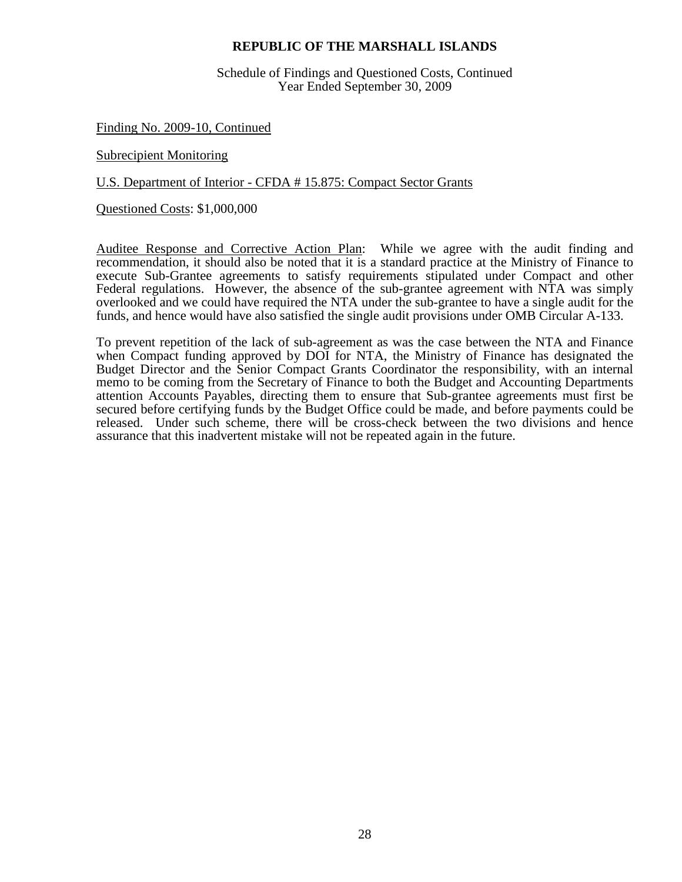Schedule of Findings and Questioned Costs, Continued Year Ended September 30, 2009

Finding No. 2009-10, Continued

Subrecipient Monitoring

U.S. Department of Interior - CFDA # 15.875: Compact Sector Grants

Questioned Costs: \$1,000,000

Auditee Response and Corrective Action Plan: While we agree with the audit finding and recommendation, it should also be noted that it is a standard practice at the Ministry of Finance to execute Sub-Grantee agreements to satisfy requirements stipulated under Compact and other Federal regulations. However, the absence of the sub-grantee agreement with NTA was simply overlooked and we could have required the NTA under the sub-grantee to have a single audit for the funds, and hence would have also satisfied the single audit provisions under OMB Circular A-133.

To prevent repetition of the lack of sub-agreement as was the case between the NTA and Finance when Compact funding approved by DOI for NTA, the Ministry of Finance has designated the Budget Director and the Senior Compact Grants Coordinator the responsibility, with an internal memo to be coming from the Secretary of Finance to both the Budget and Accounting Departments attention Accounts Payables, directing them to ensure that Sub-grantee agreements must first be secured before certifying funds by the Budget Office could be made, and before payments could be released. Under such scheme, there will be cross-check between the two divisions and hence assurance that this inadvertent mistake will not be repeated again in the future.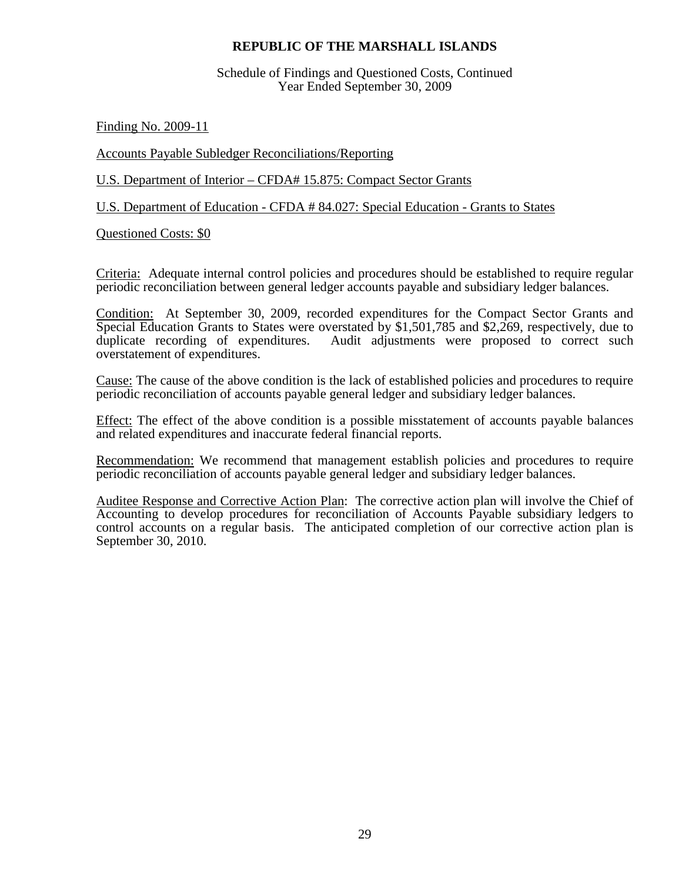Schedule of Findings and Questioned Costs, Continued Year Ended September 30, 2009

Finding No. 2009-11

# Accounts Payable Subledger Reconciliations/Reporting

U.S. Department of Interior – CFDA# 15.875: Compact Sector Grants

U.S. Department of Education - CFDA # 84.027: Special Education - Grants to States

Questioned Costs: \$0

Criteria: Adequate internal control policies and procedures should be established to require regular periodic reconciliation between general ledger accounts payable and subsidiary ledger balances.

Condition: At September 30, 2009, recorded expenditures for the Compact Sector Grants and Special Education Grants to States were overstated by \$1,501,785 and \$2,269, respectively, due to duplicate recording of expenditures. Audit adjustments were proposed to correct such overstatement of expenditures.

Cause: The cause of the above condition is the lack of established policies and procedures to require periodic reconciliation of accounts payable general ledger and subsidiary ledger balances.

Effect: The effect of the above condition is a possible misstatement of accounts payable balances and related expenditures and inaccurate federal financial reports.

Recommendation: We recommend that management establish policies and procedures to require periodic reconciliation of accounts payable general ledger and subsidiary ledger balances.

Auditee Response and Corrective Action Plan: The corrective action plan will involve the Chief of Accounting to develop procedures for reconciliation of Accounts Payable subsidiary ledgers to control accounts on a regular basis. The anticipated completion of our corrective action plan is September 30, 2010.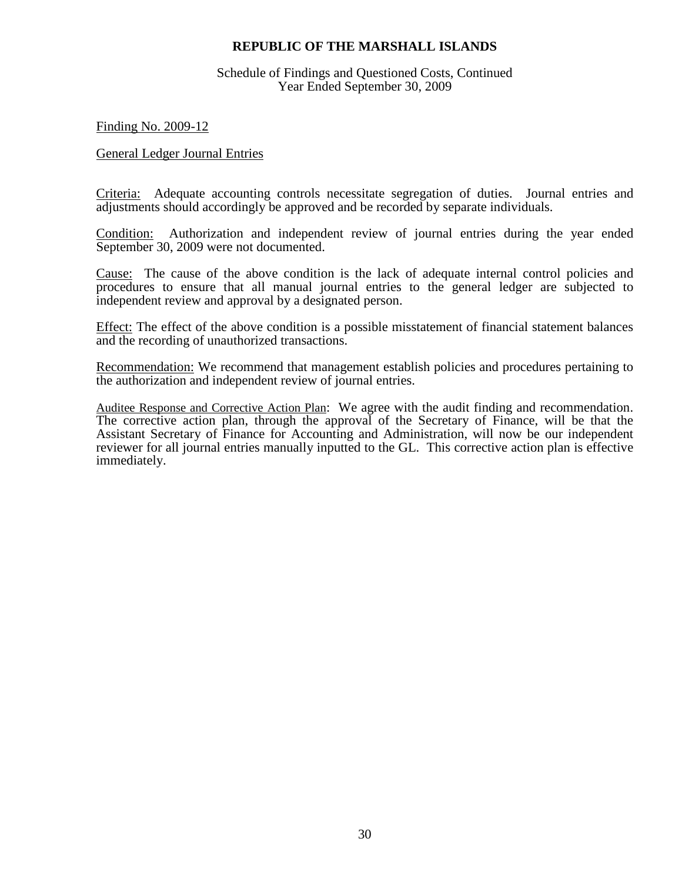### Schedule of Findings and Questioned Costs, Continued Year Ended September 30, 2009

Finding No. 2009-12

## General Ledger Journal Entries

Criteria: Adequate accounting controls necessitate segregation of duties. Journal entries and adjustments should accordingly be approved and be recorded by separate individuals.

Condition: Authorization and independent review of journal entries during the year ended September 30, 2009 were not documented.

Cause: The cause of the above condition is the lack of adequate internal control policies and procedures to ensure that all manual journal entries to the general ledger are subjected to independent review and approval by a designated person.

Effect: The effect of the above condition is a possible misstatement of financial statement balances and the recording of unauthorized transactions.

Recommendation: We recommend that management establish policies and procedures pertaining to the authorization and independent review of journal entries.

Auditee Response and Corrective Action Plan: We agree with the audit finding and recommendation. The corrective action plan, through the approval of the Secretary of Finance, will be that the Assistant Secretary of Finance for Accounting and Administration, will now be our independent reviewer for all journal entries manually inputted to the GL. This corrective action plan is effective immediately.